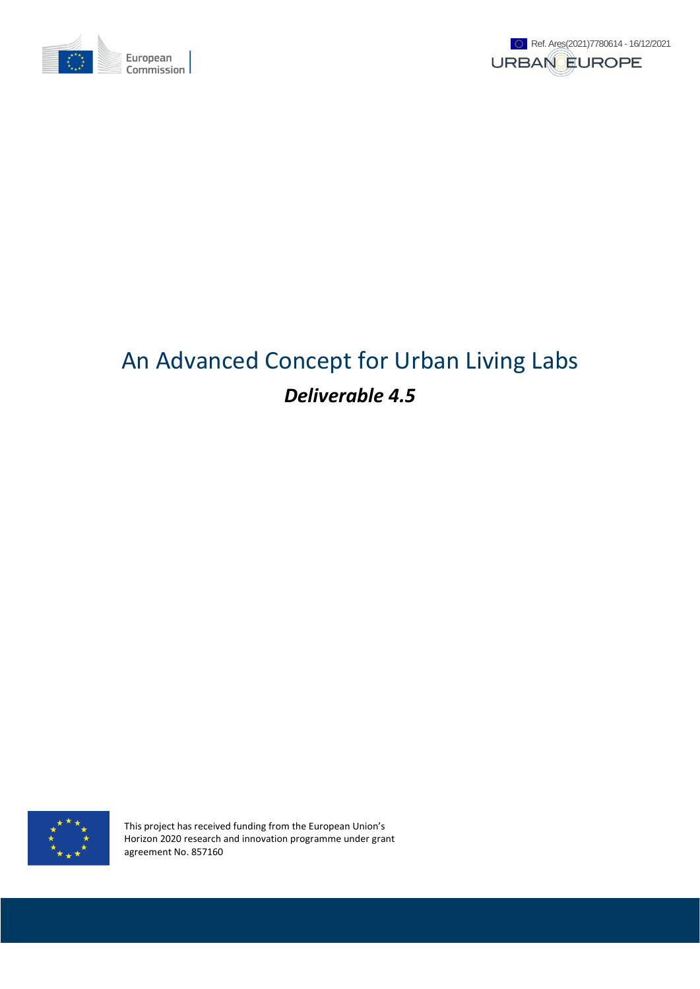



# An Advanced Concept for Urban Living Labs *Deliverable 4.5*



This project has received funding from the European Union's Horizon 2020 research and innovation programme under grant agreement No. 857160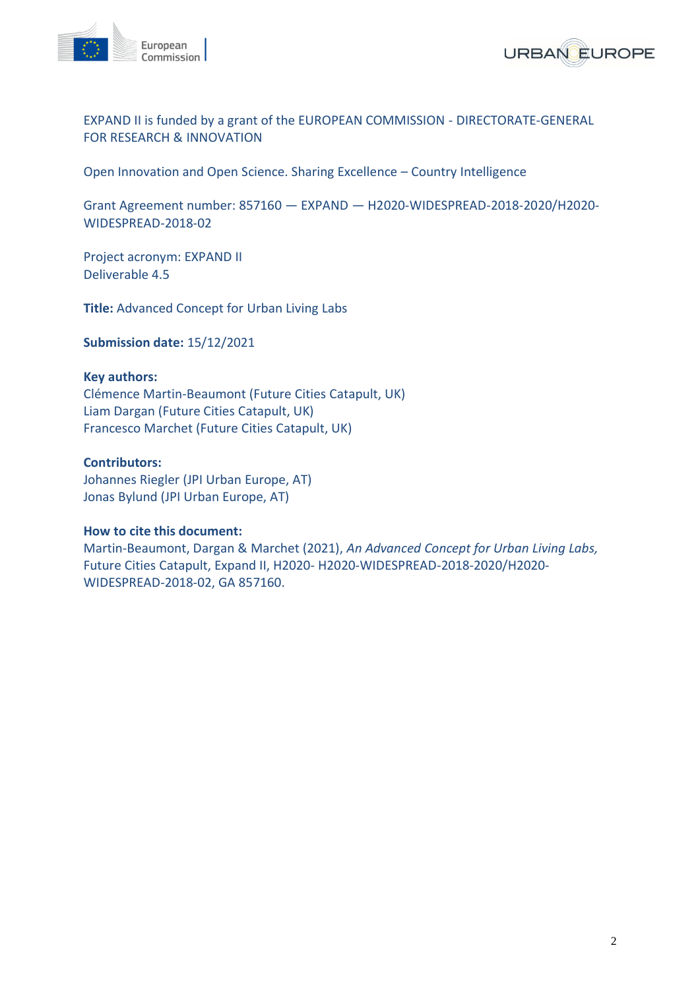



EXPAND II is funded by a grant of the EUROPEAN COMMISSION - DIRECTORATE-GENERAL FOR RESEARCH & INNOVATION

Open Innovation and Open Science. Sharing Excellence – Country Intelligence

Grant Agreement number: 857160 — EXPAND — H2020-WIDESPREAD-2018-2020/H2020- WIDESPREAD-2018-02

Project acronym: EXPAND II Deliverable 4.5

**Title:** Advanced Concept for Urban Living Labs

**Submission date:** 15/12/2021

#### **Key authors:**

Clémence Martin-Beaumont (Future Cities Catapult, UK) Liam Dargan (Future Cities Catapult, UK) Francesco Marchet (Future Cities Catapult, UK)

#### **Contributors:**

Johannes Riegler (JPI Urban Europe, AT) Jonas Bylund (JPI Urban Europe, AT)

#### **How to cite this document:**

Martin-Beaumont, Dargan & Marchet (2021), *An Advanced Concept for Urban Living Labs,*  Future Cities Catapult, Expand II, H2020- H2020-WIDESPREAD-2018-2020/H2020- WIDESPREAD-2018-02, GA 857160.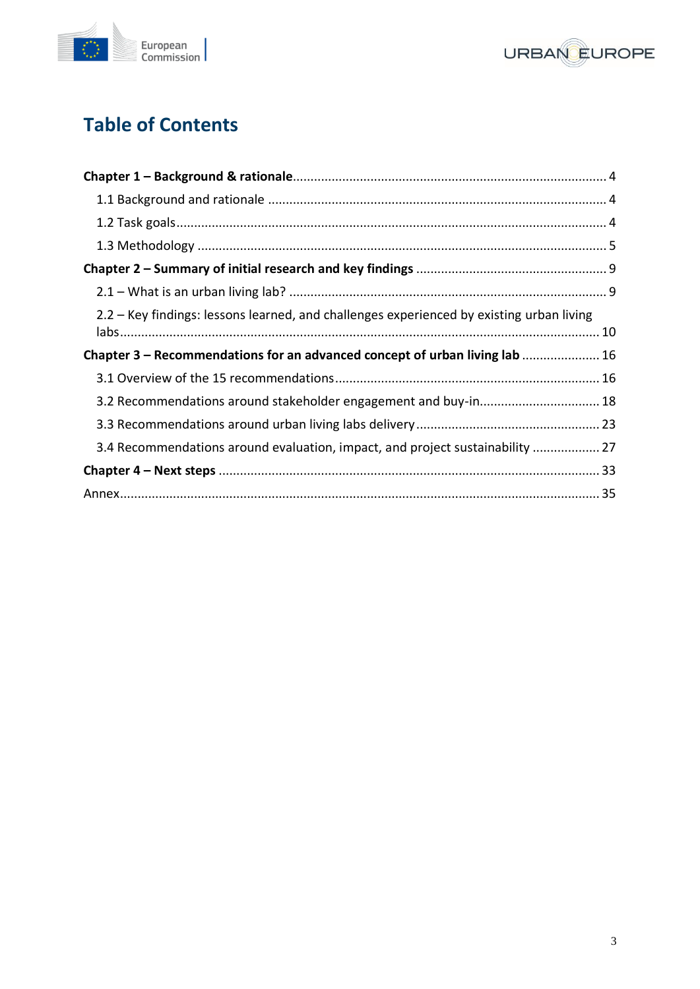



## **Table of Contents**

| 2.2 – Key findings: lessons learned, and challenges experienced by existing urban living |  |
|------------------------------------------------------------------------------------------|--|
| Chapter 3 – Recommendations for an advanced concept of urban living lab  16              |  |
|                                                                                          |  |
| 3.2 Recommendations around stakeholder engagement and buy-in 18                          |  |
|                                                                                          |  |
| 3.4 Recommendations around evaluation, impact, and project sustainability  27            |  |
|                                                                                          |  |
|                                                                                          |  |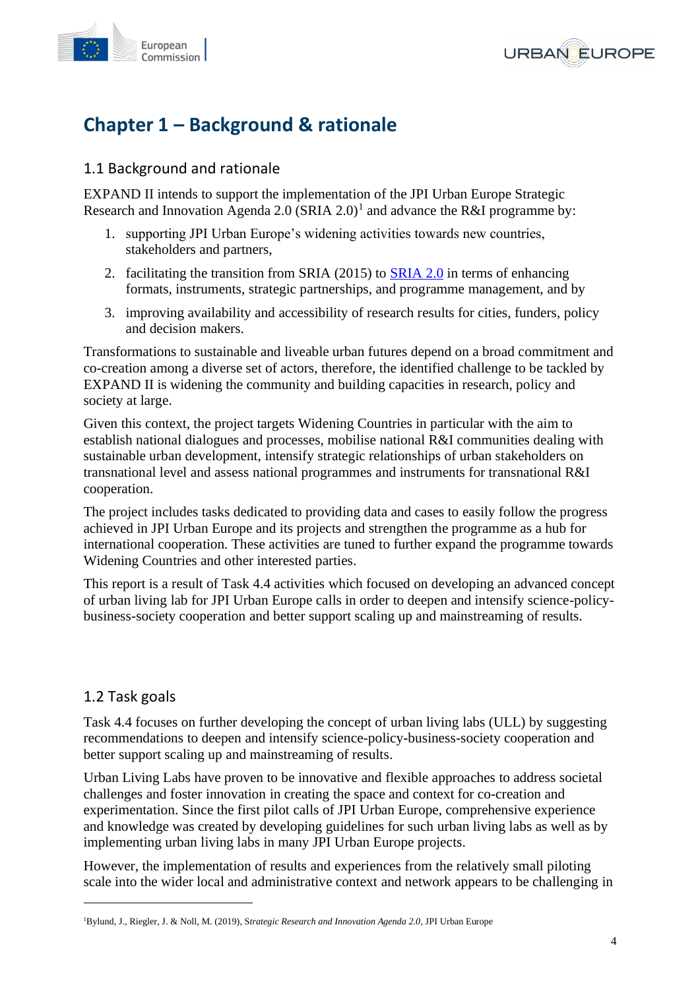



## <span id="page-3-0"></span>**Chapter 1 – Background & rationale**

## <span id="page-3-1"></span>1.1 Background and rationale

EXPAND II intends to support the implementation of the JPI Urban Europe Strategic Research and Innovation Agenda 2.0 (SRIA 2.0)<sup>1</sup> and advance the R&I programme by:

- 1. supporting JPI Urban Europe's widening activities towards new countries, stakeholders and partners,
- 2. facilitating the transition from SRIA (2015) to [SRIA 2.0](https://jpi-urbaneurope.eu/about/sria/sria-2-0/) in terms of enhancing formats, instruments, strategic partnerships, and programme management, and by
- 3. improving availability and accessibility of research results for cities, funders, policy and decision makers.

Transformations to sustainable and liveable urban futures depend on a broad commitment and co-creation among a diverse set of actors, therefore, the identified challenge to be tackled by EXPAND II is widening the community and building capacities in research, policy and society at large.

Given this context, the project targets Widening Countries in particular with the aim to establish national dialogues and processes, mobilise national R&I communities dealing with sustainable urban development, intensify strategic relationships of urban stakeholders on transnational level and assess national programmes and instruments for transnational R&I cooperation.

The project includes tasks dedicated to providing data and cases to easily follow the progress achieved in JPI Urban Europe and its projects and strengthen the programme as a hub for international cooperation. These activities are tuned to further expand the programme towards Widening Countries and other interested parties.

<span id="page-3-2"></span>This report is a result of Task 4.4 activities which focused on developing an advanced concept of urban living lab for JPI Urban Europe calls in order to deepen and intensify science-policybusiness-society cooperation and better support scaling up and mainstreaming of results.

## 1.2 Task goals

Task 4.4 focuses on further developing the concept of urban living labs (ULL) by suggesting recommendations to deepen and intensify science-policy-business-society cooperation and better support scaling up and mainstreaming of results.

Urban Living Labs have proven to be innovative and flexible approaches to address societal challenges and foster innovation in creating the space and context for co-creation and experimentation. Since the first pilot calls of JPI Urban Europe, comprehensive experience and knowledge was created by developing guidelines for such urban living labs as well as by implementing urban living labs in many JPI Urban Europe projects.

However, the implementation of results and experiences from the relatively small piloting scale into the wider local and administrative context and network appears to be challenging in

<sup>1</sup>Bylund, J., Riegler, J. & Noll, M. (2019), S*trategic Research and Innovation Agenda 2.0*, JPI Urban Europe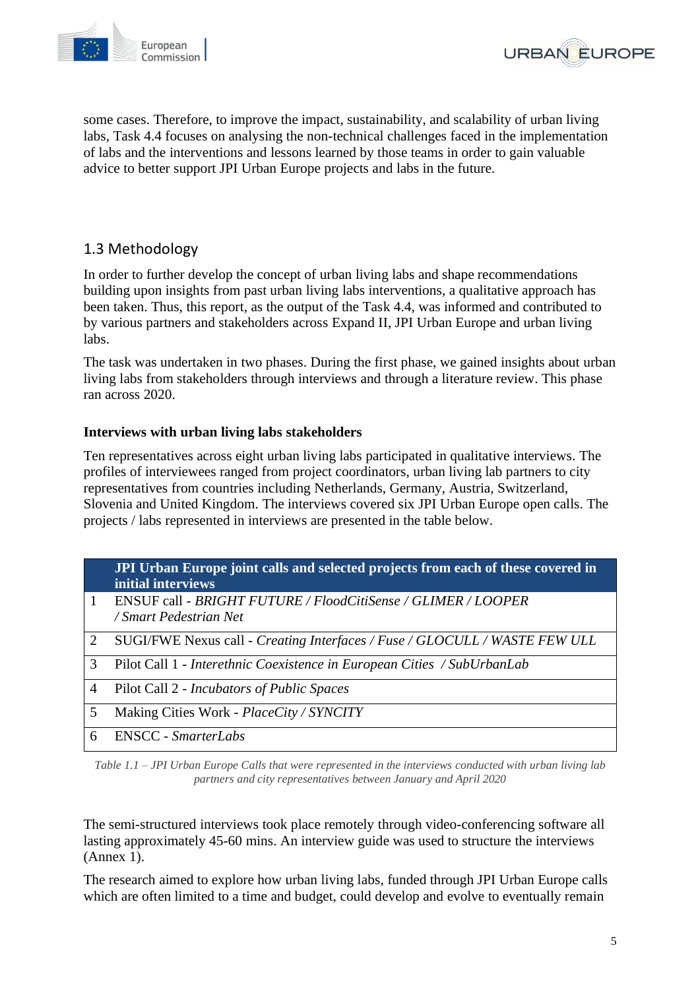



some cases. Therefore, to improve the impact, sustainability, and scalability of urban living labs, Task 4.4 focuses on analysing the non-technical challenges faced in the implementation of labs and the interventions and lessons learned by those teams in order to gain valuable advice to better support JPI Urban Europe projects and labs in the future.

## <span id="page-4-0"></span>1.3 Methodology

In order to further develop the concept of urban living labs and shape recommendations building upon insights from past urban living labs interventions, a qualitative approach has been taken. Thus, this report, as the output of the Task 4.4, was informed and contributed to by various partners and stakeholders across Expand II, JPI Urban Europe and urban living labs.

The task was undertaken in two phases. During the first phase, we gained insights about urban living labs from stakeholders through interviews and through a literature review. This phase ran across 2020.

### **Interviews with urban living labs stakeholders**

Ten representatives across eight urban living labs participated in qualitative interviews. The profiles of interviewees ranged from project coordinators, urban living lab partners to city representatives from countries including Netherlands, Germany, Austria, Switzerland, Slovenia and United Kingdom. The interviews covered six JPI Urban Europe open calls. The projects / labs represented in interviews are presented in the table below.

|   | JPI Urban Europe joint calls and selected projects from each of these covered in<br>initial interviews |
|---|--------------------------------------------------------------------------------------------------------|
|   | ENSUF call - BRIGHT FUTURE / FloodCitiSense / GLIMER / LOOPER<br>/ Smart Pedestrian Net                |
| 2 | SUGI/FWE Nexus call - Creating Interfaces / Fuse / GLOCULL / WASTE FEW ULL                             |
| 3 | Pilot Call 1 - Interethnic Coexistence in European Cities / SubUrbanLab                                |
| 4 | Pilot Call 2 - <i>Incubators of Public Spaces</i>                                                      |
| 5 | Making Cities Work - <i>PlaceCity / SYNCITY</i>                                                        |
| 6 | ENSCC - SmarterLabs                                                                                    |

*Table 1.1 – JPI Urban Europe Calls that were represented in the interviews conducted with urban living lab partners and city representatives between January and April 2020*

The semi-structured interviews took place remotely through video-conferencing software all lasting approximately 45-60 mins. An interview guide was used to structure the interviews (Annex 1).

The research aimed to explore how urban living labs, funded through JPI Urban Europe calls which are often limited to a time and budget, could develop and evolve to eventually remain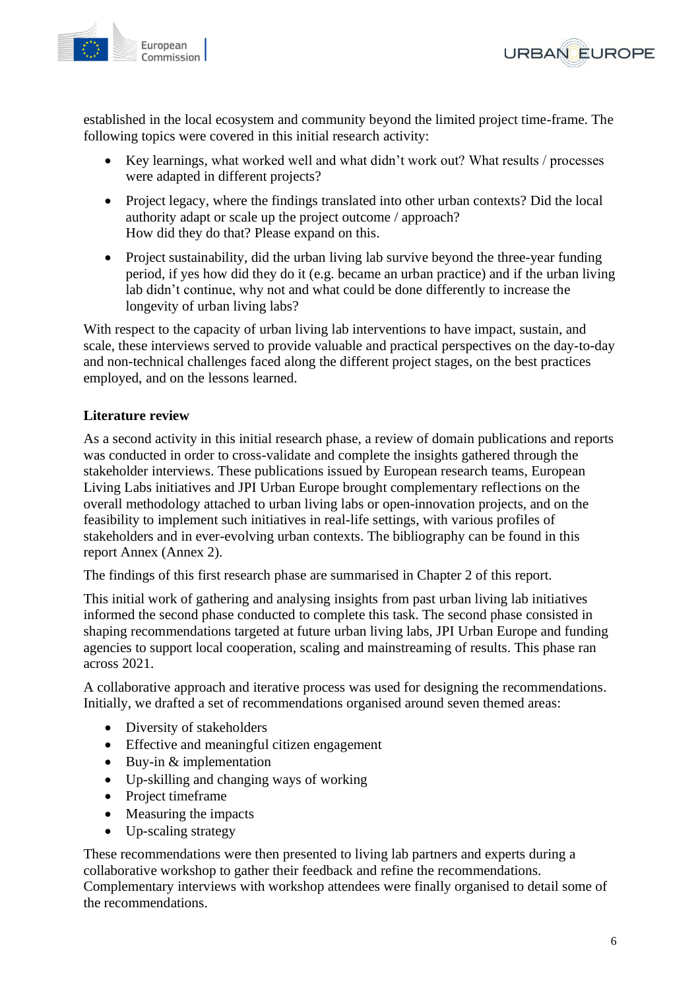

**URBAN EUROPE** 

established in the local ecosystem and community beyond the limited project time-frame. The following topics were covered in this initial research activity:

- Key learnings, what worked well and what didn't work out? What results / processes were adapted in different projects?
- Project legacy, where the findings translated into other urban contexts? Did the local authority adapt or scale up the project outcome / approach? How did they do that? Please expand on this.
- Project sustainability, did the urban living lab survive beyond the three-year funding period, if yes how did they do it (e.g. became an urban practice) and if the urban living lab didn't continue, why not and what could be done differently to increase the longevity of urban living labs?

With respect to the capacity of urban living lab interventions to have impact, sustain, and scale, these interviews served to provide valuable and practical perspectives on the day-to-day and non-technical challenges faced along the different project stages, on the best practices employed, and on the lessons learned.

### **Literature review**

As a second activity in this initial research phase, a review of domain publications and reports was conducted in order to cross-validate and complete the insights gathered through the stakeholder interviews. These publications issued by European research teams, European Living Labs initiatives and JPI Urban Europe brought complementary reflections on the overall methodology attached to urban living labs or open-innovation projects, and on the feasibility to implement such initiatives in real-life settings, with various profiles of stakeholders and in ever-evolving urban contexts. The bibliography can be found in this report Annex (Annex 2).

The findings of this first research phase are summarised in Chapter 2 of this report.

This initial work of gathering and analysing insights from past urban living lab initiatives informed the second phase conducted to complete this task. The second phase consisted in shaping recommendations targeted at future urban living labs, JPI Urban Europe and funding agencies to support local cooperation, scaling and mainstreaming of results. This phase ran across 2021.

A collaborative approach and iterative process was used for designing the recommendations. Initially, we drafted a set of recommendations organised around seven themed areas:

- Diversity of stakeholders
- Effective and meaningful citizen engagement
- Buy-in & implementation
- Up-skilling and changing ways of working
- Project timeframe
- Measuring the impacts
- Up-scaling strategy

These recommendations were then presented to living lab partners and experts during a collaborative workshop to gather their feedback and refine the recommendations. Complementary interviews with workshop attendees were finally organised to detail some of the recommendations.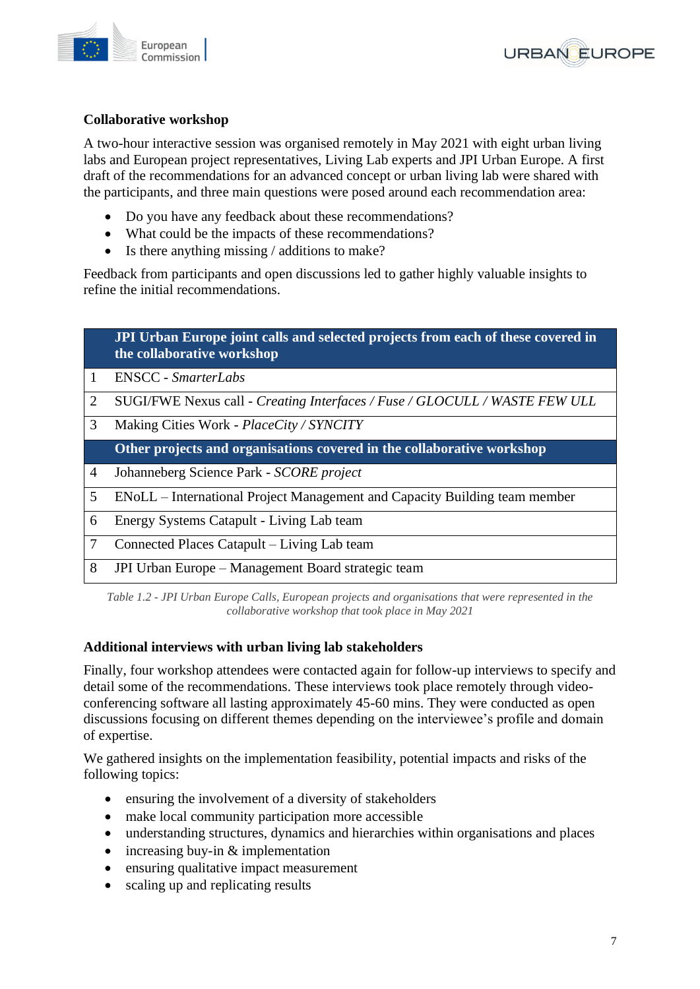



## **Collaborative workshop**

A two-hour interactive session was organised remotely in May 2021 with eight urban living labs and European project representatives, Living Lab experts and JPI Urban Europe. A first draft of the recommendations for an advanced concept or urban living lab were shared with the participants, and three main questions were posed around each recommendation area:

- Do you have any feedback about these recommendations?
- What could be the impacts of these recommendations?
- Is there anything missing / additions to make?

Feedback from participants and open discussions led to gather highly valuable insights to refine the initial recommendations.

|   | JPI Urban Europe joint calls and selected projects from each of these covered in<br>the collaborative workshop |
|---|----------------------------------------------------------------------------------------------------------------|
| 1 | <b>ENSCC</b> - <i>SmarterLabs</i>                                                                              |
| 2 | SUGI/FWE Nexus call - Creating Interfaces / Fuse / GLOCULL / WASTE FEW ULL                                     |
| 3 | Making Cities Work - <i>PlaceCity / SYNCITY</i>                                                                |
|   | Other projects and organisations covered in the collaborative workshop                                         |
| 4 | Johanneberg Science Park - SCORE project                                                                       |
| 5 | ENoLL – International Project Management and Capacity Building team member                                     |
| 6 | Energy Systems Catapult - Living Lab team                                                                      |
| 7 | Connected Places Catapult – Living Lab team                                                                    |
| 8 | JPI Urban Europe – Management Board strategic team                                                             |

*Table 1.2 - JPI Urban Europe Calls, European projects and organisations that were represented in the collaborative workshop that took place in May 2021*

#### **Additional interviews with urban living lab stakeholders**

Finally, four workshop attendees were contacted again for follow-up interviews to specify and detail some of the recommendations. These interviews took place remotely through videoconferencing software all lasting approximately 45-60 mins. They were conducted as open discussions focusing on different themes depending on the interviewee's profile and domain of expertise.

We gathered insights on the implementation feasibility, potential impacts and risks of the following topics:

- ensuring the involvement of a diversity of stakeholders
- make local community participation more accessible
- understanding structures, dynamics and hierarchies within organisations and places
- increasing buy-in & implementation
- ensuring qualitative impact measurement
- scaling up and replicating results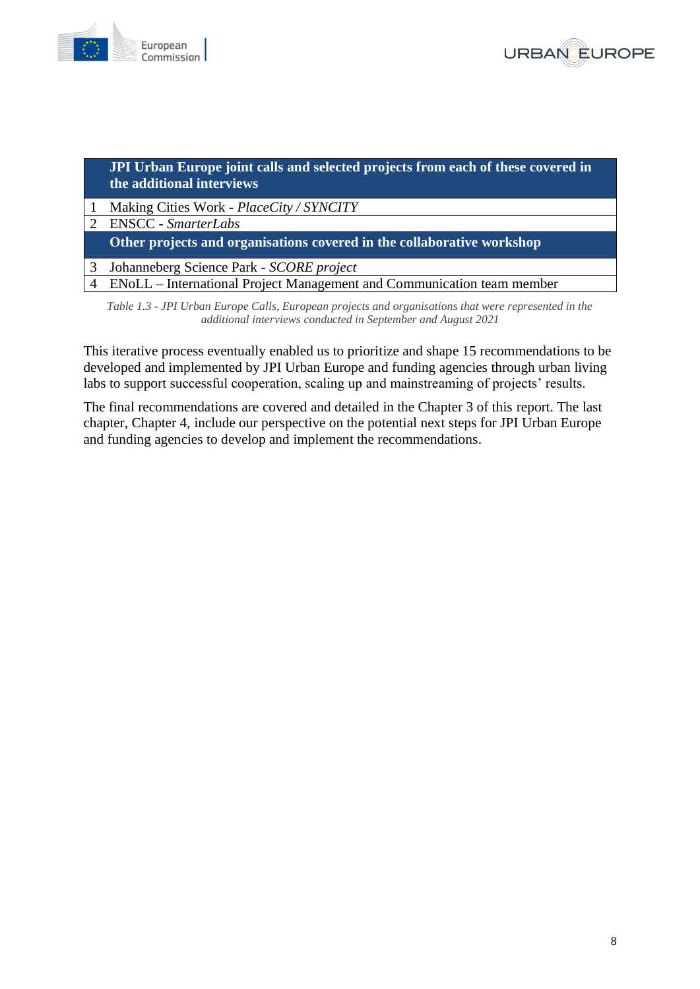



### **JPI Urban Europe joint calls and selected projects from each of these covered in the additional interviews**

- 1 Making Cities Work *PlaceCity / SYNCITY*
- 2 ENSCC *SmarterLabs* **Other projects and organisations covered in the collaborative workshop**  3 Johanneberg Science Park - *SCORE project*

4 ENoLL – International Project Management and Communication team member

*Table 1.3 - JPI Urban Europe Calls, European projects and organisations that were represented in the additional interviews conducted in September and August 2021*

This iterative process eventually enabled us to prioritize and shape 15 recommendations to be developed and implemented by JPI Urban Europe and funding agencies through urban living labs to support successful cooperation, scaling up and mainstreaming of projects' results.

<span id="page-7-0"></span>The final recommendations are covered and detailed in the Chapter 3 of this report. The last chapter, Chapter 4, include our perspective on the potential next steps for JPI Urban Europe and funding agencies to develop and implement the recommendations.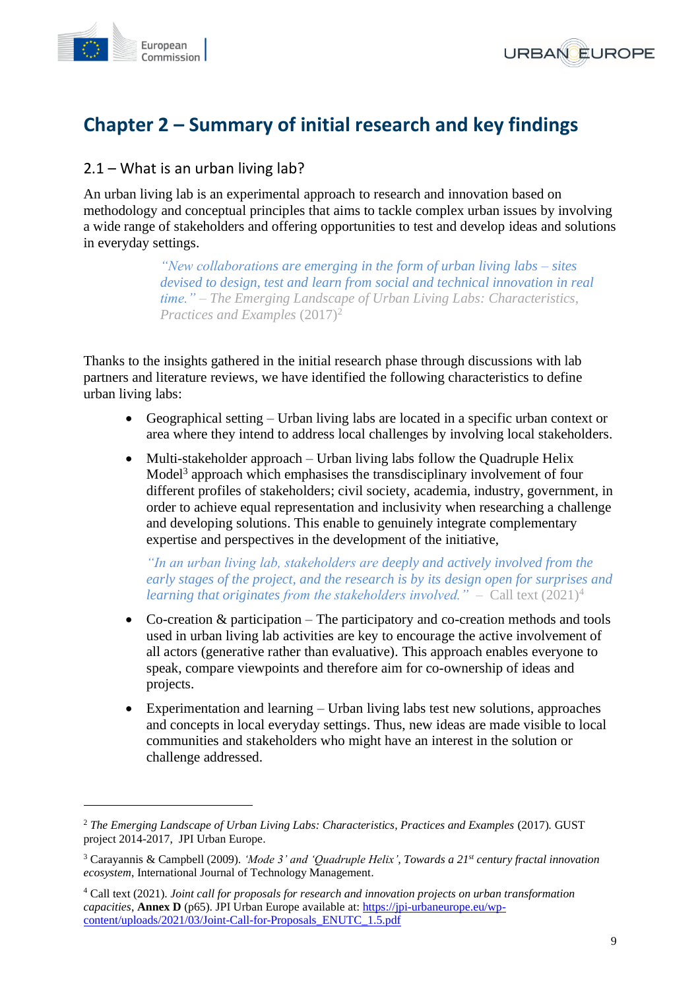



## **Chapter 2 – Summary of initial research and key findings**

## <span id="page-8-0"></span>2.1 – What is an urban living lab?

An urban living lab is an experimental approach to research and innovation based on methodology and conceptual principles that aims to tackle complex urban issues by involving a wide range of stakeholders and offering opportunities to test and develop ideas and solutions in everyday settings.

> *"New collaborations are emerging in the form of urban living labs – sites devised to design, test and learn from social and technical innovation in real time."* – *The Emerging Landscape of Urban Living Labs: Characteristics, Practices and Examples* (2017)<sup>2</sup>

Thanks to the insights gathered in the initial research phase through discussions with lab partners and literature reviews, we have identified the following characteristics to define urban living labs:

- Geographical setting Urban living labs are located in a specific urban context or area where they intend to address local challenges by involving local stakeholders.
- Multi-stakeholder approach Urban living labs follow the Quadruple Helix Model<sup>3</sup> approach which emphasises the transdisciplinary involvement of four different profiles of stakeholders; civil society, academia, industry, government, in order to achieve equal representation and inclusivity when researching a challenge and developing solutions. This enable to genuinely integrate complementary expertise and perspectives in the development of the initiative,

*"In an urban living lab, stakeholders are deeply and actively involved from the early stages of the project, and the research is by its design open for surprises and learning that originates from the stakeholders involved."* – Call text (2021) 4

- Co-creation & participation The participatory and co-creation methods and tools used in urban living lab activities are key to encourage the active involvement of all actors (generative rather than evaluative). This approach enables everyone to speak, compare viewpoints and therefore aim for co-ownership of ideas and projects.
- Experimentation and learning Urban living labs test new solutions, approaches and concepts in local everyday settings. Thus, new ideas are made visible to local communities and stakeholders who might have an interest in the solution or challenge addressed.

<sup>2</sup> *The Emerging Landscape of Urban Living Labs: Characteristics, Practices and Examples* (2017)*.* GUST project 2014-2017, JPI Urban Europe.

<sup>3</sup> Carayannis & Campbell (2009). *'Mode 3' and 'Quadruple Helix', Towards a 21st century fractal innovation ecosystem*, International Journal of Technology Management.

<sup>4</sup> Call text (2021). *Joint call for proposals for research and innovation projects on urban transformation capacities*, **Annex D** (p65). JPI Urban Europe available at[: https://jpi-urbaneurope.eu/wp](https://jpi-urbaneurope.eu/wp-content/uploads/2021/03/Joint-Call-for-Proposals_ENUTC_1.5.pdf)[content/uploads/2021/03/Joint-Call-for-Proposals\\_ENUTC\\_1.5.pdf](https://jpi-urbaneurope.eu/wp-content/uploads/2021/03/Joint-Call-for-Proposals_ENUTC_1.5.pdf)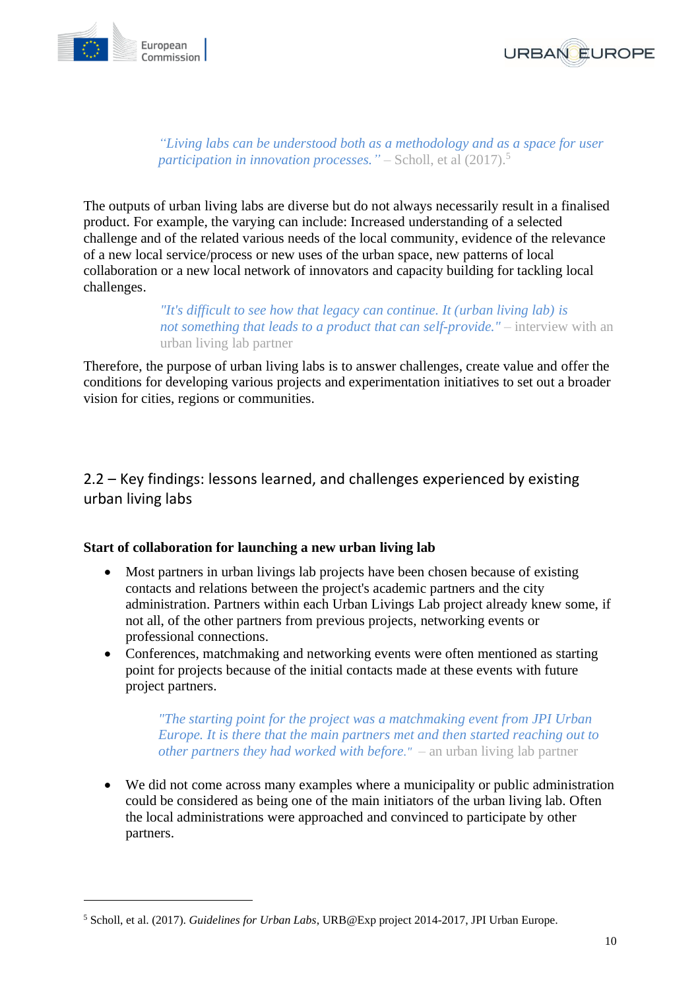



*"Living labs can be understood both as a methodology and as a space for user participation in innovation processes.*" – Scholl, et al (2017).<sup>5</sup>

The outputs of urban living labs are diverse but do not always necessarily result in a finalised product. For example, the varying can include: Increased understanding of a selected challenge and of the related various needs of the local community, evidence of the relevance of a new local service/process or new uses of the urban space, new patterns of local collaboration or a new local network of innovators and capacity building for tackling local challenges.

> *"It's difficult to see how that legacy can continue. It (urban living lab) is not something that leads to a product that can self-provide."* – interview with an urban living lab partner

<span id="page-9-0"></span>Therefore, the purpose of urban living labs is to answer challenges, create value and offer the conditions for developing various projects and experimentation initiatives to set out a broader vision for cities, regions or communities.

2.2 – Key findings: lessons learned, and challenges experienced by existing urban living labs

#### **Start of collaboration for launching a new urban living lab**

- Most partners in urban livings lab projects have been chosen because of existing contacts and relations between the project's academic partners and the city administration. Partners within each Urban Livings Lab project already knew some, if not all, of the other partners from previous projects, networking events or professional connections.
- Conferences, matchmaking and networking events were often mentioned as starting point for projects because of the initial contacts made at these events with future project partners.

*"The starting point for the project was a matchmaking event from JPI Urban Europe. It is there that the main partners met and then started reaching out to other partners they had worked with before."* – an urban living lab partner

• We did not come across many examples where a municipality or public administration could be considered as being one of the main initiators of the urban living lab. Often the local administrations were approached and convinced to participate by other partners.

<sup>5</sup> Scholl, et al. (2017). *Guidelines for Urban Labs*, URB@Exp project 2014-2017, JPI Urban Europe.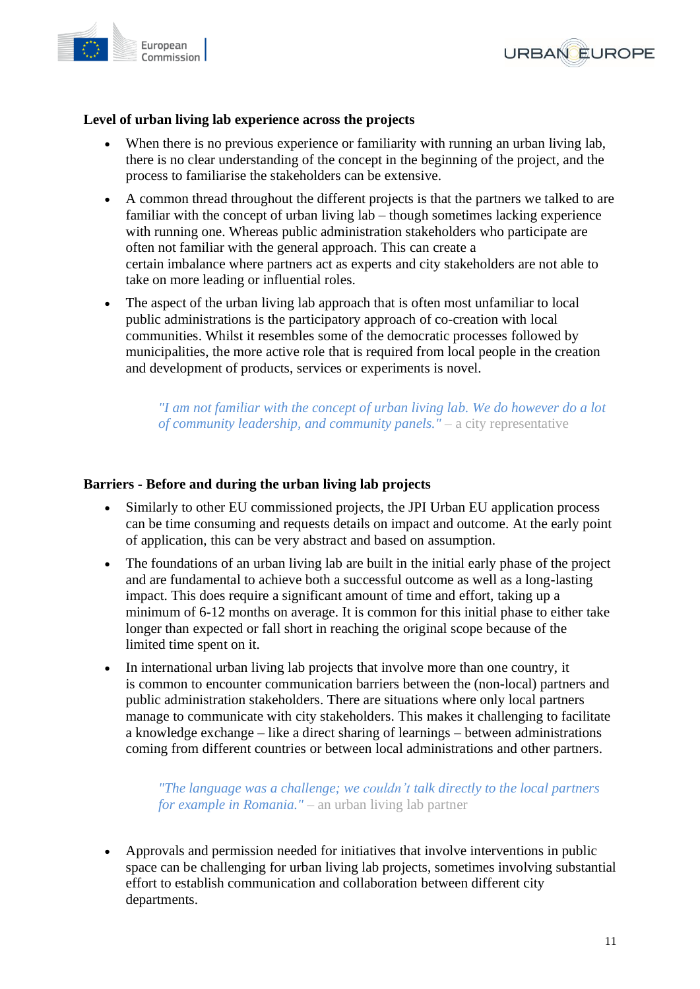



### **Level of urban living lab experience across the projects**

- When there is no previous experience or familiarity with running an urban living lab, there is no clear understanding of the concept in the beginning of the project, and the process to familiarise the stakeholders can be extensive.
- A common thread throughout the different projects is that the partners we talked to are familiar with the concept of urban living lab – though sometimes lacking experience with running one. Whereas public administration stakeholders who participate are often not familiar with the general approach. This can create a certain imbalance where partners act as experts and city stakeholders are not able to take on more leading or influential roles.
- The aspect of the urban living lab approach that is often most unfamiliar to local public administrations is the participatory approach of co-creation with local communities. Whilst it resembles some of the democratic processes followed by municipalities, the more active role that is required from local people in the creation and development of products, services or experiments is novel.

*"I am not familiar with the concept of urban living lab. We do however do a lot of community leadership, and community panels."* – a city representative

#### **Barriers - Before and during the urban living lab projects**

- Similarly to other EU commissioned projects, the JPI Urban EU application process can be time consuming and requests details on impact and outcome. At the early point of application, this can be very abstract and based on assumption.
- The foundations of an urban living lab are built in the initial early phase of the project and are fundamental to achieve both a successful outcome as well as a long-lasting impact. This does require a significant amount of time and effort, taking up a minimum of 6-12 months on average. It is common for this initial phase to either take longer than expected or fall short in reaching the original scope because of the limited time spent on it.
- In international urban living lab projects that involve more than one country, it is common to encounter communication barriers between the (non-local) partners and public administration stakeholders. There are situations where only local partners manage to communicate with city stakeholders. This makes it challenging to facilitate a knowledge exchange – like a direct sharing of learnings – between administrations coming from different countries or between local administrations and other partners.

*"The language was a challenge; we couldn't talk directly to the local partners for example in Romania."* – an urban living lab partner

• Approvals and permission needed for initiatives that involve interventions in public space can be challenging for urban living lab projects, sometimes involving substantial effort to establish communication and collaboration between different city departments.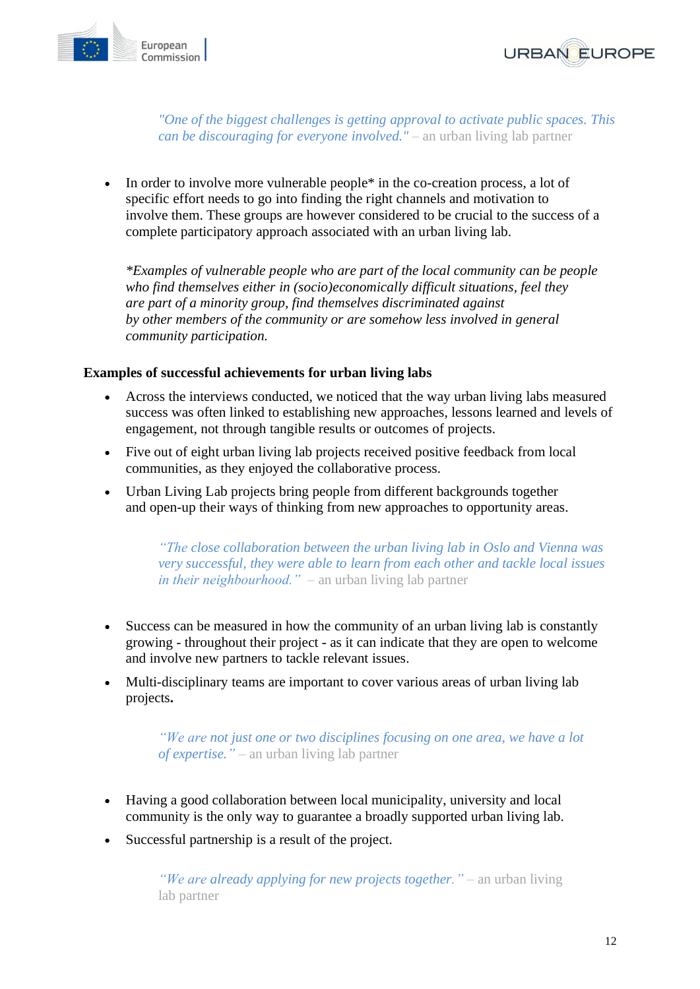



*"One of the biggest challenges is getting approval to activate public spaces. This can be discouraging for everyone involved."* – an urban living lab partner

• In order to involve more vulnerable people<sup>\*</sup> in the co-creation process, a lot of specific effort needs to go into finding the right channels and motivation to involve them. These groups are however considered to be crucial to the success of a complete participatory approach associated with an urban living lab.

*\*Examples of vulnerable people who are part of the local community can be people who find themselves either in (socio)economically difficult situations, feel they are part of a minority group, find themselves discriminated against by other members of the community or are somehow less involved in general community participation.*

#### **Examples of successful achievements for urban living labs**

- Across the interviews conducted, we noticed that the way urban living labs measured success was often linked to establishing new approaches, lessons learned and levels of engagement, not through tangible results or outcomes of projects.
- Five out of eight urban living lab projects received positive feedback from local communities, as they enjoyed the collaborative process.
- Urban Living Lab projects bring people from different backgrounds together and open-up their ways of thinking from new approaches to opportunity areas.

*"The close collaboration between the urban living lab in Oslo and Vienna was very successful, they were able to learn from each other and tackle local issues in their neighbourhood."* – an urban living lab partner

- Success can be measured in how the community of an urban living lab is constantly growing - throughout their project - as it can indicate that they are open to welcome and involve new partners to tackle relevant issues.
- Multi-disciplinary teams are important to cover various areas of urban living lab projects**.**

*"We are not just one or two disciplines focusing on one area, we have a lot of expertise."* – an urban living lab partner

- Having a good collaboration between local municipality, university and local community is the only way to guarantee a broadly supported urban living lab.
- Successful partnership is a result of the project.

*"We are already applying for new projects together."* – an urban living lab partner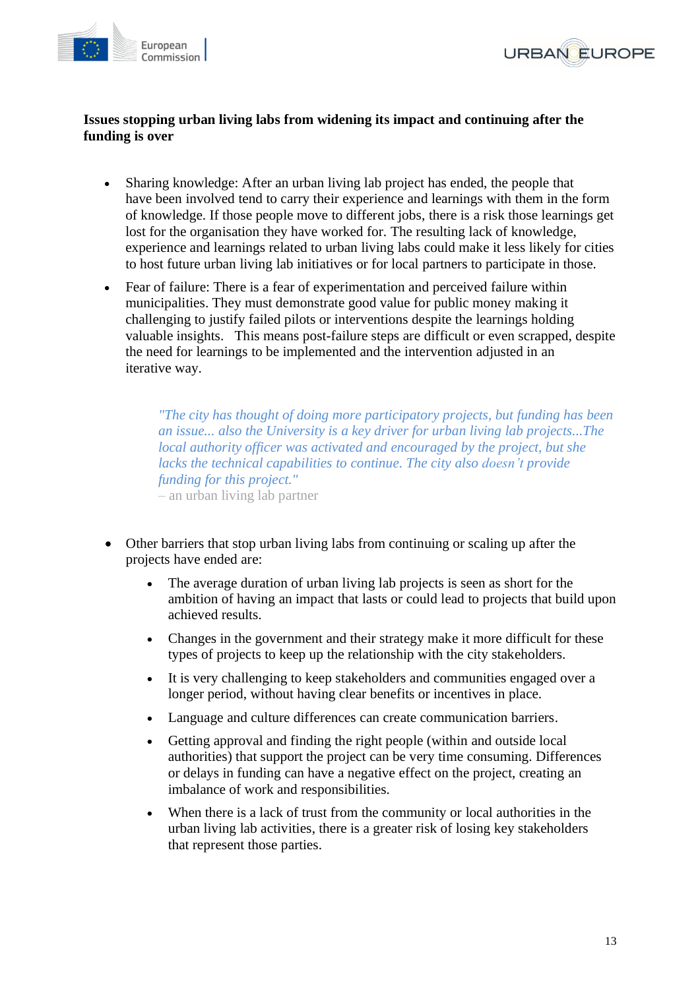



### **Issues stopping urban living labs from widening its impact and continuing after the funding is over**

- Sharing knowledge: After an urban living lab project has ended, the people that have been involved tend to carry their experience and learnings with them in the form of knowledge. If those people move to different jobs, there is a risk those learnings get lost for the organisation they have worked for. The resulting lack of knowledge, experience and learnings related to urban living labs could make it less likely for cities to host future urban living lab initiatives or for local partners to participate in those.
- Fear of failure: There is a fear of experimentation and perceived failure within municipalities. They must demonstrate good value for public money making it challenging to justify failed pilots or interventions despite the learnings holding valuable insights. This means post-failure steps are difficult or even scrapped, despite the need for learnings to be implemented and the intervention adjusted in an iterative way.

*"The city has thought of doing more participatory projects, but funding has been an issue... also the University is a key driver for urban living lab projects...The local authority officer was activated and encouraged by the project, but she lacks the technical capabilities to continue. The city also doesn't provide funding for this project."* – an urban living lab partner

- Other barriers that stop urban living labs from continuing or scaling up after the projects have ended are:
	- The average duration of urban living lab projects is seen as short for the ambition of having an impact that lasts or could lead to projects that build upon achieved results.
	- Changes in the government and their strategy make it more difficult for these types of projects to keep up the relationship with the city stakeholders.
	- It is very challenging to keep stakeholders and communities engaged over a longer period, without having clear benefits or incentives in place.
	- Language and culture differences can create communication barriers.
	- Getting approval and finding the right people (within and outside local authorities) that support the project can be very time consuming. Differences or delays in funding can have a negative effect on the project, creating an imbalance of work and responsibilities.
	- When there is a lack of trust from the community or local authorities in the urban living lab activities, there is a greater risk of losing key stakeholders that represent those parties.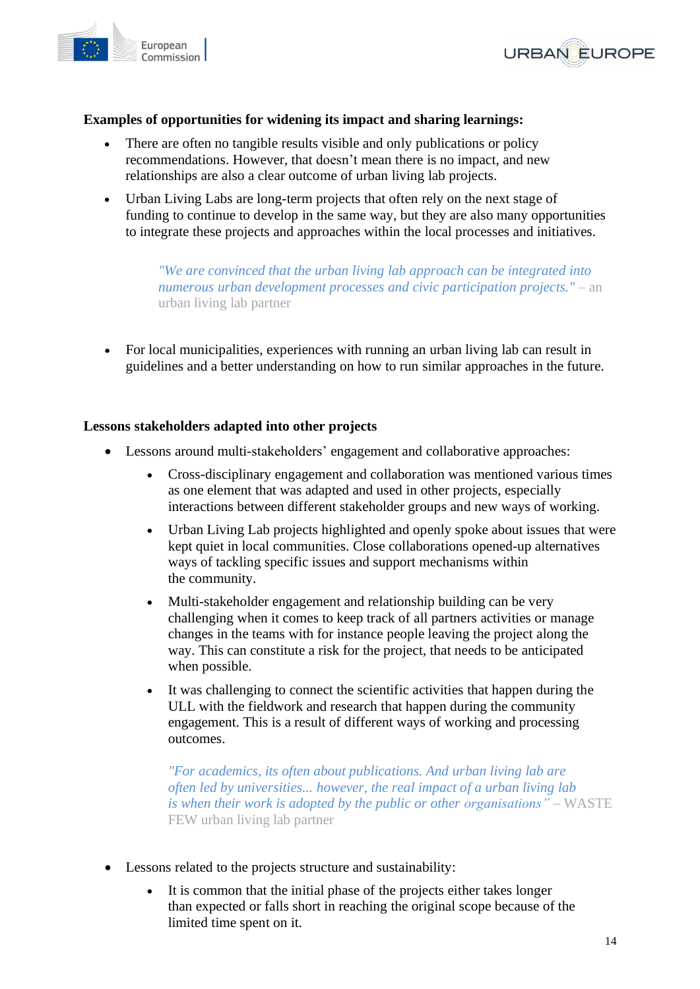



### **Examples of opportunities for widening its impact and sharing learnings:**

- There are often no tangible results visible and only publications or policy recommendations. However, that doesn't mean there is no impact, and new relationships are also a clear outcome of urban living lab projects.
- Urban Living Labs are long-term projects that often rely on the next stage of funding to continue to develop in the same way, but they are also many opportunities to integrate these projects and approaches within the local processes and initiatives.

*"We are convinced that the urban living lab approach can be integrated into numerous urban development processes and civic participation projects."* – an urban living lab partner

• For local municipalities, experiences with running an urban living lab can result in guidelines and a better understanding on how to run similar approaches in the future.

#### **Lessons stakeholders adapted into other projects**

- Lessons around multi-stakeholders' engagement and collaborative approaches:
	- Cross-disciplinary engagement and collaboration was mentioned various times as one element that was adapted and used in other projects, especially interactions between different stakeholder groups and new ways of working.
	- Urban Living Lab projects highlighted and openly spoke about issues that were kept quiet in local communities. Close collaborations opened-up alternatives ways of tackling specific issues and support mechanisms within the community.
	- Multi-stakeholder engagement and relationship building can be very challenging when it comes to keep track of all partners activities or manage changes in the teams with for instance people leaving the project along the way. This can constitute a risk for the project, that needs to be anticipated when possible.
	- It was challenging to connect the scientific activities that happen during the ULL with the fieldwork and research that happen during the community engagement. This is a result of different ways of working and processing outcomes.

*"For academics, its often about publications. And urban living lab are often led by universities... however, the real impact of a urban living lab is when their work is adopted by the public or other organisations" –* WASTE FEW urban living lab partner

- Lessons related to the projects structure and sustainability:
	- It is common that the initial phase of the projects either takes longer than expected or falls short in reaching the original scope because of the limited time spent on it.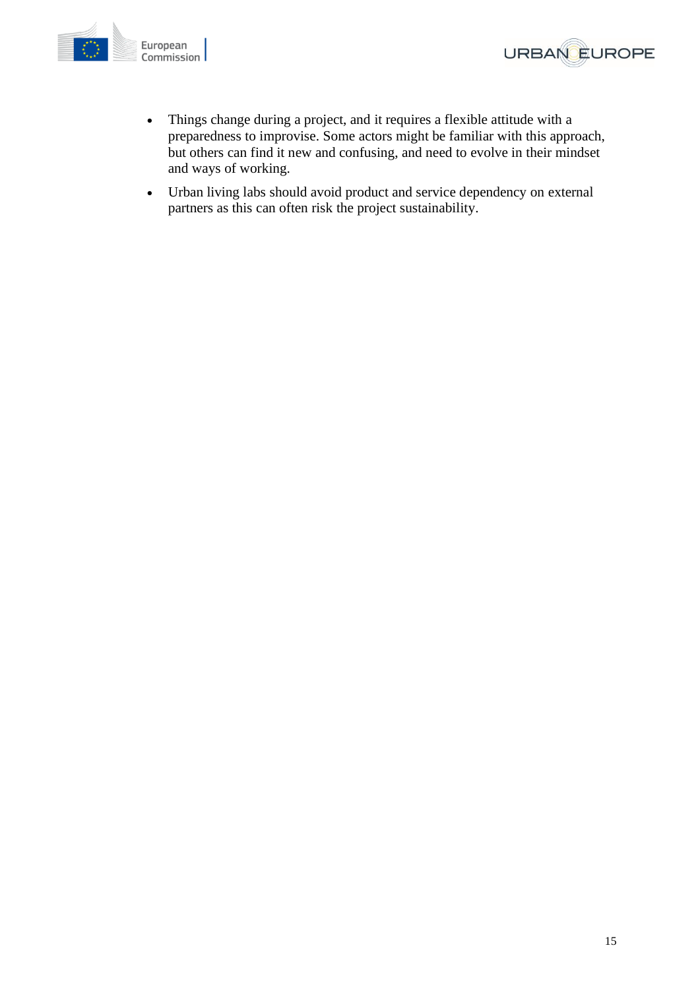



- Things change during a project, and it requires a flexible attitude with a preparedness to improvise. Some actors might be familiar with this approach, but others can find it new and confusing, and need to evolve in their mindset and ways of working.
- Urban living labs should avoid product and service dependency on external partners as this can often risk the project sustainability.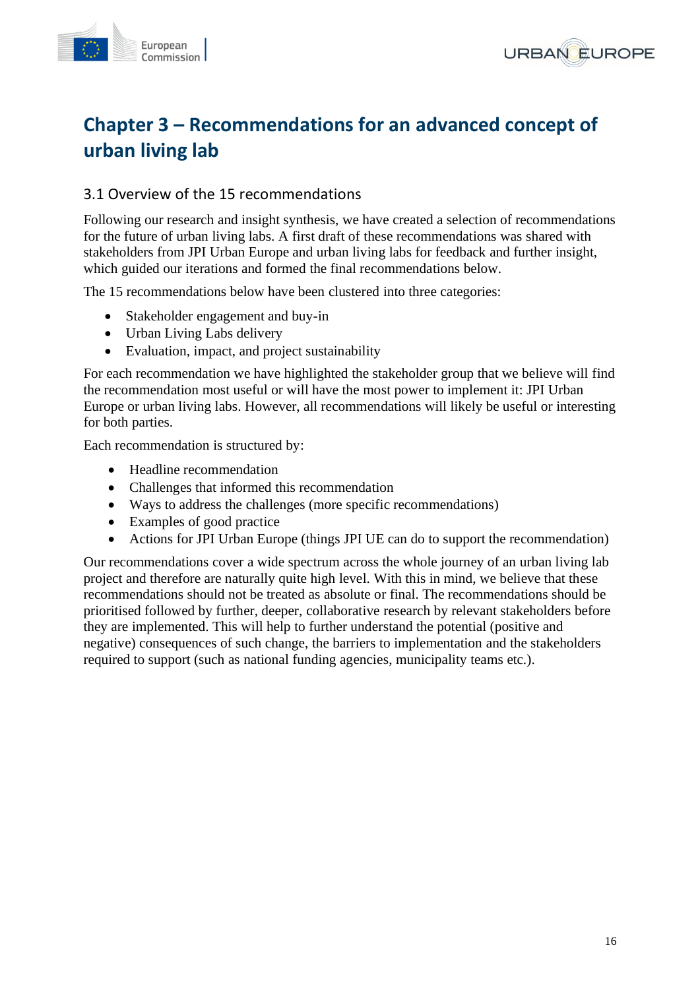



## <span id="page-15-0"></span>**Chapter 3 – Recommendations for an advanced concept of urban living lab**

## <span id="page-15-1"></span>3.1 Overview of the 15 recommendations

Following our research and insight synthesis, we have created a selection of recommendations for the future of urban living labs. A first draft of these recommendations was shared with stakeholders from JPI Urban Europe and urban living labs for feedback and further insight, which guided our iterations and formed the final recommendations below.

The 15 recommendations below have been clustered into three categories:

- Stakeholder engagement and buy-in
- Urban Living Labs delivery
- Evaluation, impact, and project sustainability

For each recommendation we have highlighted the stakeholder group that we believe will find the recommendation most useful or will have the most power to implement it: JPI Urban Europe or urban living labs. However, all recommendations will likely be useful or interesting for both parties.

Each recommendation is structured by:

- Headline recommendation
- Challenges that informed this recommendation
- Ways to address the challenges (more specific recommendations)
- Examples of good practice
- Actions for JPI Urban Europe (things JPI UE can do to support the recommendation)

Our recommendations cover a wide spectrum across the whole journey of an urban living lab project and therefore are naturally quite high level. With this in mind, we believe that these recommendations should not be treated as absolute or final. The recommendations should be prioritised followed by further, deeper, collaborative research by relevant stakeholders before they are implemented. This will help to further understand the potential (positive and negative) consequences of such change, the barriers to implementation and the stakeholders required to support (such as national funding agencies, municipality teams etc.).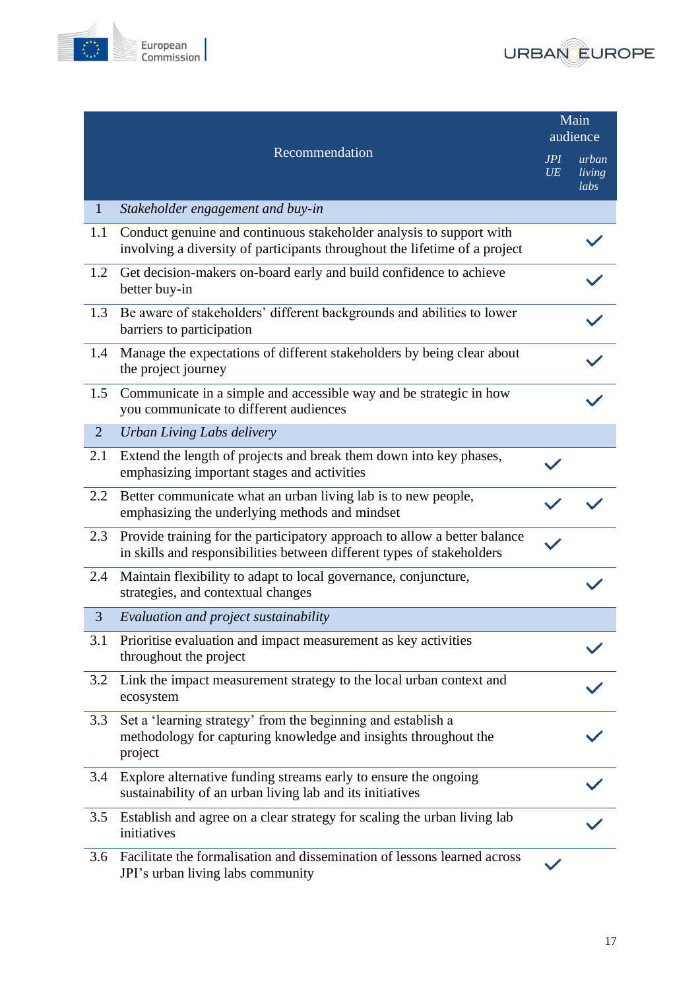



|                |                                                                                                                                                     |           | Main<br>audience        |
|----------------|-----------------------------------------------------------------------------------------------------------------------------------------------------|-----------|-------------------------|
|                | Recommendation                                                                                                                                      | JPI<br>UE | urban<br>living<br>labs |
| $\mathbf{1}$   | Stakeholder engagement and buy-in                                                                                                                   |           |                         |
| 1.1            | Conduct genuine and continuous stakeholder analysis to support with<br>involving a diversity of participants throughout the lifetime of a project   |           |                         |
| 1.2            | Get decision-makers on-board early and build confidence to achieve<br>better buy-in                                                                 |           |                         |
| 1.3            | Be aware of stakeholders' different backgrounds and abilities to lower<br>barriers to participation                                                 |           |                         |
| 1.4            | Manage the expectations of different stakeholders by being clear about<br>the project journey                                                       |           |                         |
| 1.5            | Communicate in a simple and accessible way and be strategic in how<br>you communicate to different audiences                                        |           |                         |
| $\overline{2}$ | Urban Living Labs delivery                                                                                                                          |           |                         |
| 2.1            | Extend the length of projects and break them down into key phases,<br>emphasizing important stages and activities                                   |           |                         |
| $2.2\,$        | Better communicate what an urban living lab is to new people,<br>emphasizing the underlying methods and mindset                                     |           |                         |
| 2.3            | Provide training for the participatory approach to allow a better balance<br>in skills and responsibilities between different types of stakeholders |           |                         |
| 2.4            | Maintain flexibility to adapt to local governance, conjuncture,<br>strategies, and contextual changes                                               |           |                         |
| 3              | Evaluation and project sustainability                                                                                                               |           |                         |
|                | 3.1 Prioritise evaluation and impact measurement as key activities<br>throughout the project                                                        |           |                         |
| 3.2            | Link the impact measurement strategy to the local urban context and<br>ecosystem                                                                    |           |                         |
| 3.3            | Set a 'learning strategy' from the beginning and establish a<br>methodology for capturing knowledge and insights throughout the<br>project          |           |                         |
| 3.4            | Explore alternative funding streams early to ensure the ongoing<br>sustainability of an urban living lab and its initiatives                        |           |                         |
| 3.5            | Establish and agree on a clear strategy for scaling the urban living lab<br>initiatives                                                             |           |                         |
| 3.6            | Facilitate the formalisation and dissemination of lessons learned across<br>JPI's urban living labs community                                       |           |                         |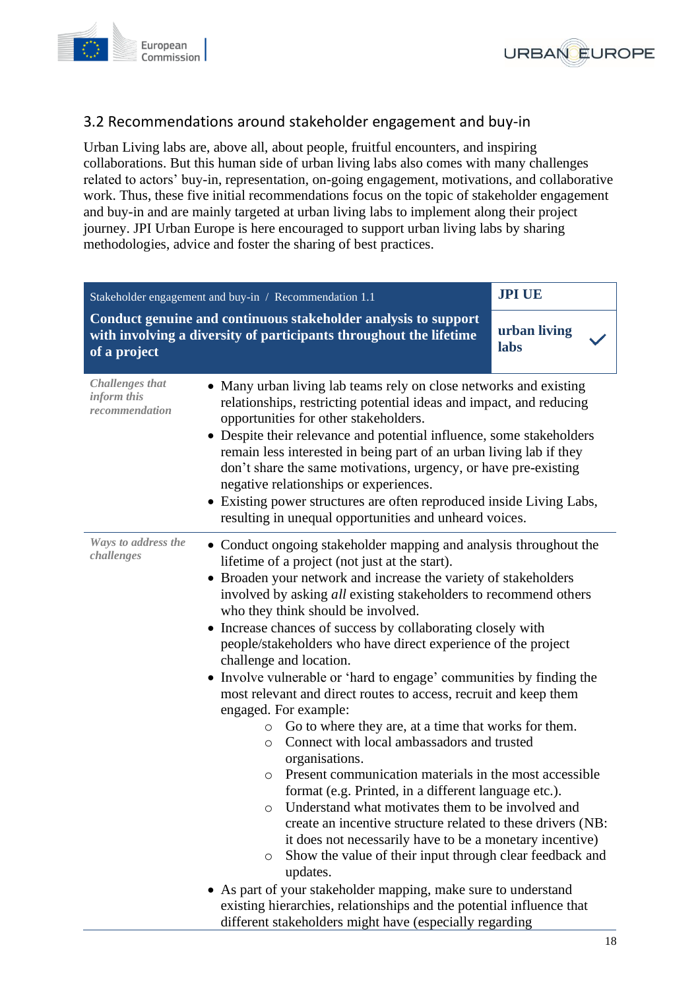



## <span id="page-17-0"></span>3.2 Recommendations around stakeholder engagement and buy-in

Urban Living labs are, above all, about people, fruitful encounters, and inspiring collaborations. But this human side of urban living labs also comes with many challenges related to actors' buy-in, representation, on-going engagement, motivations, and collaborative work. Thus, these five initial recommendations focus on the topic of stakeholder engagement and buy-in and are mainly targeted at urban living labs to implement along their project journey. JPI Urban Europe is here encouraged to support urban living labs by sharing methodologies, advice and foster the sharing of best practices.

<span id="page-17-1"></span>

| <b>JPI UE</b><br>Stakeholder engagement and buy-in / Recommendation 1.1 |                                                                                                                                                                                                                                                                                                                                                                                                                                                                                                                                                                                                                                                                                                                                                                                                                                                                                                                                                                                                                                                                                                                                                                                                                                                                                                                                                                                 |                      |
|-------------------------------------------------------------------------|---------------------------------------------------------------------------------------------------------------------------------------------------------------------------------------------------------------------------------------------------------------------------------------------------------------------------------------------------------------------------------------------------------------------------------------------------------------------------------------------------------------------------------------------------------------------------------------------------------------------------------------------------------------------------------------------------------------------------------------------------------------------------------------------------------------------------------------------------------------------------------------------------------------------------------------------------------------------------------------------------------------------------------------------------------------------------------------------------------------------------------------------------------------------------------------------------------------------------------------------------------------------------------------------------------------------------------------------------------------------------------|----------------------|
| of a project                                                            | Conduct genuine and continuous stakeholder analysis to support<br>with involving a diversity of participants throughout the lifetime                                                                                                                                                                                                                                                                                                                                                                                                                                                                                                                                                                                                                                                                                                                                                                                                                                                                                                                                                                                                                                                                                                                                                                                                                                            | urban living<br>labs |
| <b>Challenges</b> that<br>inform this<br>recommendation                 | • Many urban living lab teams rely on close networks and existing<br>relationships, restricting potential ideas and impact, and reducing<br>opportunities for other stakeholders.<br>• Despite their relevance and potential influence, some stakeholders<br>remain less interested in being part of an urban living lab if they<br>don't share the same motivations, urgency, or have pre-existing<br>negative relationships or experiences.<br>• Existing power structures are often reproduced inside Living Labs,<br>resulting in unequal opportunities and unheard voices.                                                                                                                                                                                                                                                                                                                                                                                                                                                                                                                                                                                                                                                                                                                                                                                                 |                      |
| Ways to address the<br>challenges                                       | • Conduct ongoing stakeholder mapping and analysis throughout the<br>lifetime of a project (not just at the start).<br>• Broaden your network and increase the variety of stakeholders<br>involved by asking all existing stakeholders to recommend others<br>who they think should be involved.<br>• Increase chances of success by collaborating closely with<br>people/stakeholders who have direct experience of the project<br>challenge and location.<br>• Involve vulnerable or 'hard to engage' communities by finding the<br>most relevant and direct routes to access, recruit and keep them<br>engaged. For example:<br>Go to where they are, at a time that works for them.<br>$\circ$<br>Connect with local ambassadors and trusted<br>$\circ$<br>organisations.<br>Present communication materials in the most accessible<br>$\circ$<br>format (e.g. Printed, in a different language etc.).<br>Understand what motivates them to be involved and<br>O<br>create an incentive structure related to these drivers (NB:<br>it does not necessarily have to be a monetary incentive)<br>Show the value of their input through clear feedback and<br>O<br>updates.<br>As part of your stakeholder mapping, make sure to understand<br>existing hierarchies, relationships and the potential influence that<br>different stakeholders might have (especially regarding |                      |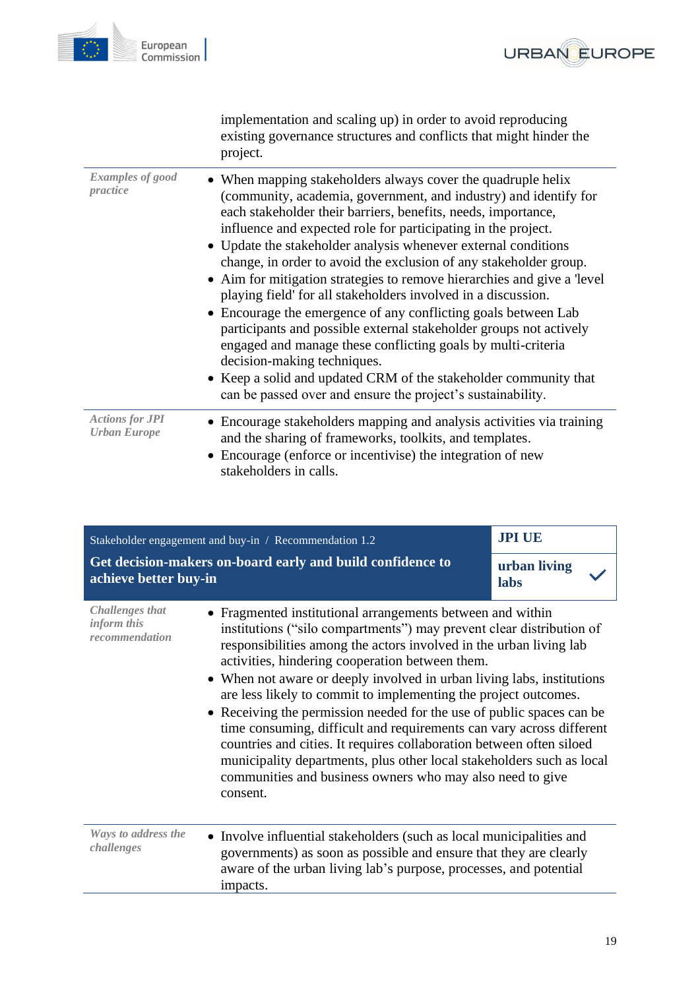

|                                               | implementation and scaling up) in order to avoid reproducing<br>existing governance structures and conflicts that might hinder the<br>project.                                                                                                                                                                                                                                                                                                                                                                                                                                                                                                                                                                                                                                                                                                                                                                                |
|-----------------------------------------------|-------------------------------------------------------------------------------------------------------------------------------------------------------------------------------------------------------------------------------------------------------------------------------------------------------------------------------------------------------------------------------------------------------------------------------------------------------------------------------------------------------------------------------------------------------------------------------------------------------------------------------------------------------------------------------------------------------------------------------------------------------------------------------------------------------------------------------------------------------------------------------------------------------------------------------|
| <b>Examples of good</b><br>practice           | • When mapping stakeholders always cover the quadruple helix<br>(community, academia, government, and industry) and identify for<br>each stakeholder their barriers, benefits, needs, importance,<br>influence and expected role for participating in the project.<br>• Update the stakeholder analysis whenever external conditions<br>change, in order to avoid the exclusion of any stakeholder group.<br>• Aim for mitigation strategies to remove hierarchies and give a 'level<br>playing field' for all stakeholders involved in a discussion.<br>Encourage the emergence of any conflicting goals between Lab<br>participants and possible external stakeholder groups not actively<br>engaged and manage these conflicting goals by multi-criteria<br>decision-making techniques.<br>• Keep a solid and updated CRM of the stakeholder community that<br>can be passed over and ensure the project's sustainability. |
| <b>Actions for JPI</b><br><b>Urban Europe</b> | • Encourage stakeholders mapping and analysis activities via training<br>and the sharing of frameworks, toolkits, and templates.<br>Encourage (enforce or incentivise) the integration of new<br>stakeholders in calls.                                                                                                                                                                                                                                                                                                                                                                                                                                                                                                                                                                                                                                                                                                       |

<span id="page-18-0"></span>

| Stakeholder engagement and buy-in / Recommendation 1.2                              |                                                                                                                                                                                                                                                                                                                                                                                                                                                                                                                                                                                                                                                                                                                                                                                     | <b>JPI UE</b>        |
|-------------------------------------------------------------------------------------|-------------------------------------------------------------------------------------------------------------------------------------------------------------------------------------------------------------------------------------------------------------------------------------------------------------------------------------------------------------------------------------------------------------------------------------------------------------------------------------------------------------------------------------------------------------------------------------------------------------------------------------------------------------------------------------------------------------------------------------------------------------------------------------|----------------------|
| Get decision-makers on-board early and build confidence to<br>achieve better buy-in |                                                                                                                                                                                                                                                                                                                                                                                                                                                                                                                                                                                                                                                                                                                                                                                     | urban living<br>labs |
| <b>Challenges that</b><br>inform this<br>recommendation                             | • Fragmented institutional arrangements between and within<br>institutions ("silo compartments") may prevent clear distribution of<br>responsibilities among the actors involved in the urban living lab<br>activities, hindering cooperation between them.<br>• When not aware or deeply involved in urban living labs, institutions<br>are less likely to commit to implementing the project outcomes.<br>• Receiving the permission needed for the use of public spaces can be<br>time consuming, difficult and requirements can vary across different<br>countries and cities. It requires collaboration between often siloed<br>municipality departments, plus other local stakeholders such as local<br>communities and business owners who may also need to give<br>consent. |                      |
| Ways to address the<br>challenges                                                   | • Involve influential stakeholders (such as local municipalities and<br>governments) as soon as possible and ensure that they are clearly<br>aware of the urban living lab's purpose, processes, and potential<br>impacts.                                                                                                                                                                                                                                                                                                                                                                                                                                                                                                                                                          |                      |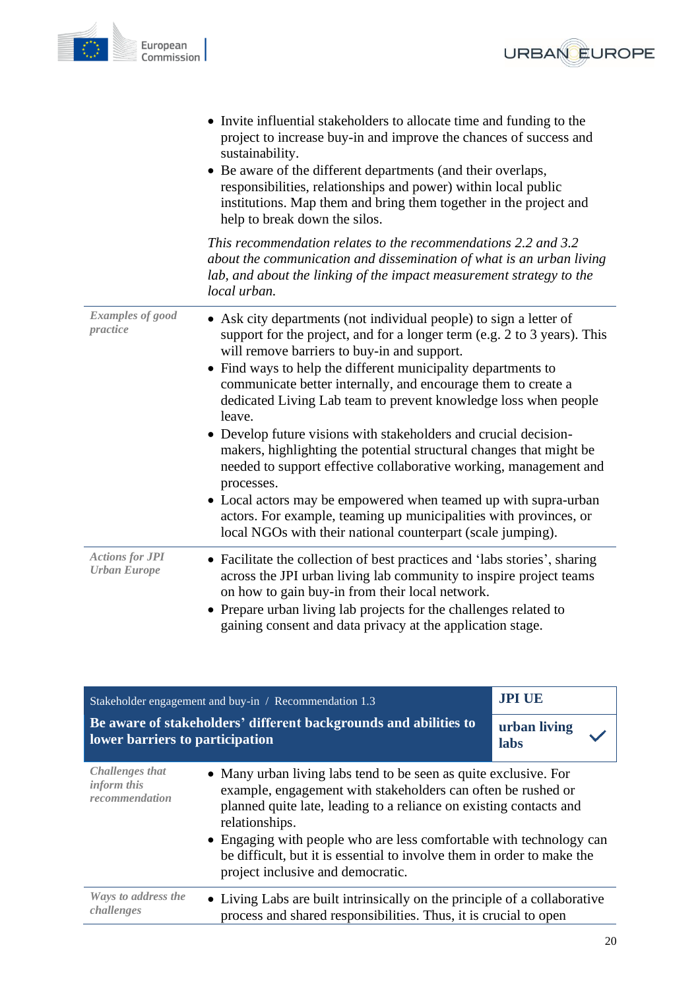



|                                               | • Invite influential stakeholders to allocate time and funding to the<br>project to increase buy-in and improve the chances of success and<br>sustainability.<br>• Be aware of the different departments (and their overlaps,<br>responsibilities, relationships and power) within local public<br>institutions. Map them and bring them together in the project and<br>help to break down the silos.                                                                                                                                                                                                                                                                                                                                                                                                                                             |
|-----------------------------------------------|---------------------------------------------------------------------------------------------------------------------------------------------------------------------------------------------------------------------------------------------------------------------------------------------------------------------------------------------------------------------------------------------------------------------------------------------------------------------------------------------------------------------------------------------------------------------------------------------------------------------------------------------------------------------------------------------------------------------------------------------------------------------------------------------------------------------------------------------------|
|                                               | This recommendation relates to the recommendations 2.2 and 3.2<br>about the communication and dissemination of what is an urban living<br>lab, and about the linking of the impact measurement strategy to the<br>local urban.                                                                                                                                                                                                                                                                                                                                                                                                                                                                                                                                                                                                                    |
| <b>Examples of good</b><br>practice           | • Ask city departments (not individual people) to sign a letter of<br>support for the project, and for a longer term (e.g. 2 to 3 years). This<br>will remove barriers to buy-in and support.<br>• Find ways to help the different municipality departments to<br>communicate better internally, and encourage them to create a<br>dedicated Living Lab team to prevent knowledge loss when people<br>leave.<br>• Develop future visions with stakeholders and crucial decision-<br>makers, highlighting the potential structural changes that might be<br>needed to support effective collaborative working, management and<br>processes.<br>• Local actors may be empowered when teamed up with supra-urban<br>actors. For example, teaming up municipalities with provinces, or<br>local NGOs with their national counterpart (scale jumping). |
| <b>Actions for JPI</b><br><b>Urban Europe</b> | • Facilitate the collection of best practices and 'labs stories', sharing<br>across the JPI urban living lab community to inspire project teams<br>on how to gain buy-in from their local network.<br>Prepare urban living lab projects for the challenges related to<br>gaining consent and data privacy at the application stage.                                                                                                                                                                                                                                                                                                                                                                                                                                                                                                               |

<span id="page-19-0"></span>

| Stakeholder engagement and buy-in / Recommendation 1.3                                              |                                                                                                                                                                                                                                                                                                                                                                                                                | <b>JPI UE</b>        |
|-----------------------------------------------------------------------------------------------------|----------------------------------------------------------------------------------------------------------------------------------------------------------------------------------------------------------------------------------------------------------------------------------------------------------------------------------------------------------------------------------------------------------------|----------------------|
| Be aware of stakeholders' different backgrounds and abilities to<br>lower barriers to participation |                                                                                                                                                                                                                                                                                                                                                                                                                | urban living<br>labs |
| <b>Challenges that</b><br>inform this<br>recommendation                                             | • Many urban living labs tend to be seen as quite exclusive. For<br>example, engagement with stakeholders can often be rushed or<br>planned quite late, leading to a reliance on existing contacts and<br>relationships.<br>• Engaging with people who are less comfortable with technology can<br>be difficult, but it is essential to involve them in order to make the<br>project inclusive and democratic. |                      |
| Ways to address the<br>challenges                                                                   | • Living Labs are built intrinsically on the principle of a collaborative<br>process and shared responsibilities. Thus, it is crucial to open                                                                                                                                                                                                                                                                  |                      |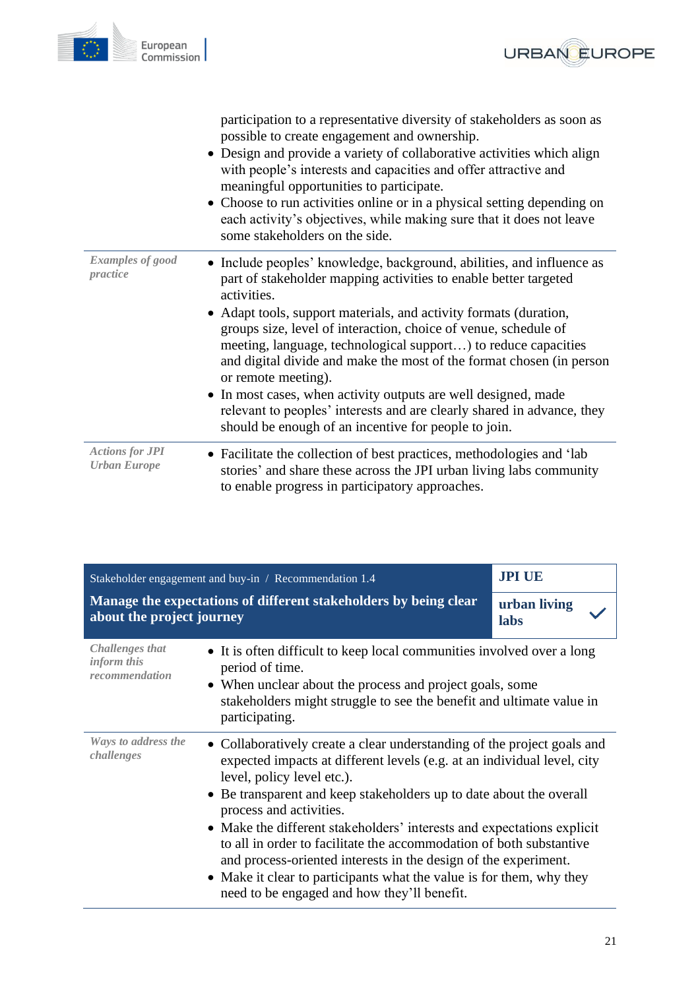

|                                               | participation to a representative diversity of stakeholders as soon as<br>possible to create engagement and ownership.<br>• Design and provide a variety of collaborative activities which align<br>with people's interests and capacities and offer attractive and<br>meaningful opportunities to participate.<br>• Choose to run activities online or in a physical setting depending on<br>each activity's objectives, while making sure that it does not leave<br>some stakeholders on the side. |
|-----------------------------------------------|------------------------------------------------------------------------------------------------------------------------------------------------------------------------------------------------------------------------------------------------------------------------------------------------------------------------------------------------------------------------------------------------------------------------------------------------------------------------------------------------------|
| <b>Examples of good</b><br>practice           | • Include peoples' knowledge, background, abilities, and influence as<br>part of stakeholder mapping activities to enable better targeted<br>activities.<br>• Adapt tools, support materials, and activity formats (duration,<br>groups size, level of interaction, choice of venue, schedule of<br>meeting, language, technological support) to reduce capacities<br>and digital divide and make the most of the format chosen (in person<br>or remote meeting).                                    |
|                                               | • In most cases, when activity outputs are well designed, made<br>relevant to peoples' interests and are clearly shared in advance, they<br>should be enough of an incentive for people to join.                                                                                                                                                                                                                                                                                                     |
| <b>Actions for JPI</b><br><b>Urban Europe</b> | • Facilitate the collection of best practices, methodologies and 'lab<br>stories' and share these across the JPI urban living labs community<br>to enable progress in participatory approaches.                                                                                                                                                                                                                                                                                                      |

<span id="page-20-0"></span>

| Stakeholder engagement and buy-in / Recommendation 1.4                                        |                                                                                                                                                                                                                                                                                                                                                                                                                                                                                                                                                                                                                               | <b>JPI UE</b>        |
|-----------------------------------------------------------------------------------------------|-------------------------------------------------------------------------------------------------------------------------------------------------------------------------------------------------------------------------------------------------------------------------------------------------------------------------------------------------------------------------------------------------------------------------------------------------------------------------------------------------------------------------------------------------------------------------------------------------------------------------------|----------------------|
| Manage the expectations of different stakeholders by being clear<br>about the project journey |                                                                                                                                                                                                                                                                                                                                                                                                                                                                                                                                                                                                                               | urban living<br>labs |
| <b>Challenges that</b><br>inform this<br>recommendation                                       | • It is often difficult to keep local communities involved over a long<br>period of time.<br>• When unclear about the process and project goals, some<br>stakeholders might struggle to see the benefit and ultimate value in<br>participating.                                                                                                                                                                                                                                                                                                                                                                               |                      |
| Ways to address the<br>challenges                                                             | • Collaboratively create a clear understanding of the project goals and<br>expected impacts at different levels (e.g. at an individual level, city<br>level, policy level etc.).<br>• Be transparent and keep stakeholders up to date about the overall<br>process and activities.<br>• Make the different stakeholders' interests and expectations explicit<br>to all in order to facilitate the accommodation of both substantive<br>and process-oriented interests in the design of the experiment.<br>• Make it clear to participants what the value is for them, why they<br>need to be engaged and how they'll benefit. |                      |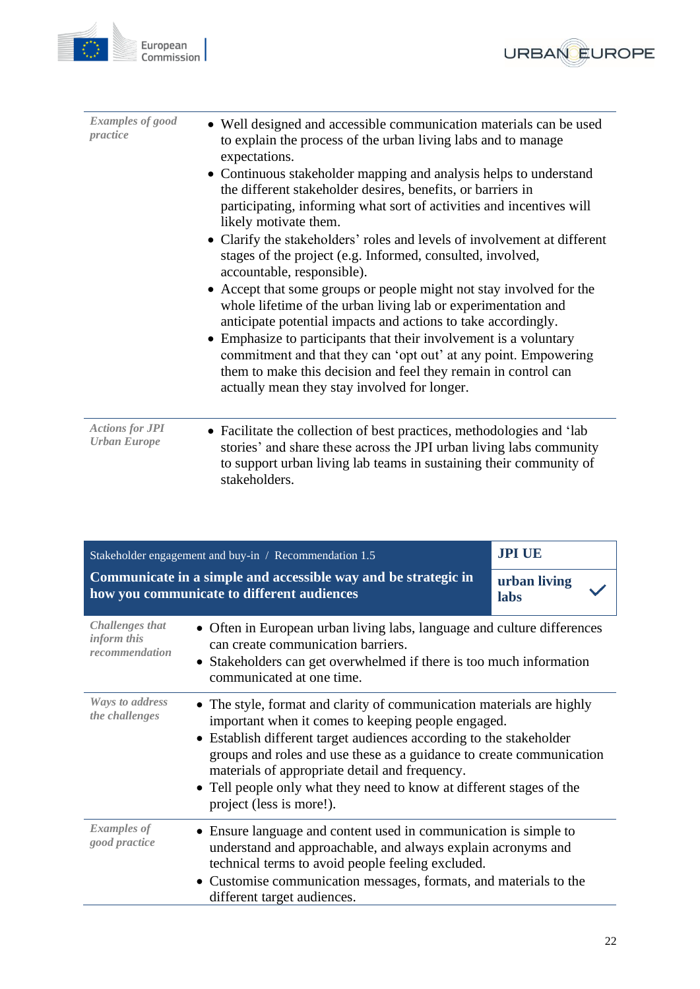



| <b>Examples of good</b><br>practice           | • Well designed and accessible communication materials can be used<br>to explain the process of the urban living labs and to manage<br>expectations.<br>• Continuous stakeholder mapping and analysis helps to understand<br>the different stakeholder desires, benefits, or barriers in<br>participating, informing what sort of activities and incentives will<br>likely motivate them.<br>• Clarify the stakeholders' roles and levels of involvement at different<br>stages of the project (e.g. Informed, consulted, involved,<br>accountable, responsible).<br>• Accept that some groups or people might not stay involved for the<br>whole lifetime of the urban living lab or experimentation and<br>anticipate potential impacts and actions to take accordingly.<br>• Emphasize to participants that their involvement is a voluntary<br>commitment and that they can 'opt out' at any point. Empowering<br>them to make this decision and feel they remain in control can<br>actually mean they stay involved for longer. |
|-----------------------------------------------|--------------------------------------------------------------------------------------------------------------------------------------------------------------------------------------------------------------------------------------------------------------------------------------------------------------------------------------------------------------------------------------------------------------------------------------------------------------------------------------------------------------------------------------------------------------------------------------------------------------------------------------------------------------------------------------------------------------------------------------------------------------------------------------------------------------------------------------------------------------------------------------------------------------------------------------------------------------------------------------------------------------------------------------|
| <b>Actions for JPI</b><br><b>Urban Europe</b> | • Facilitate the collection of best practices, methodologies and 'lab<br>stories' and share these across the JPI urban living labs community<br>to support urban living lab teams in sustaining their community of<br>stakeholders.                                                                                                                                                                                                                                                                                                                                                                                                                                                                                                                                                                                                                                                                                                                                                                                                  |

<span id="page-21-0"></span>

| Stakeholder engagement and buy-in / Recommendation 1.5  |                                                                                                                                                                                                                                                                                                                                                                                                                                  | <b>JPI UE</b>        |
|---------------------------------------------------------|----------------------------------------------------------------------------------------------------------------------------------------------------------------------------------------------------------------------------------------------------------------------------------------------------------------------------------------------------------------------------------------------------------------------------------|----------------------|
|                                                         | Communicate in a simple and accessible way and be strategic in<br>how you communicate to different audiences                                                                                                                                                                                                                                                                                                                     | urban living<br>labs |
| <b>Challenges that</b><br>inform this<br>recommendation | • Often in European urban living labs, language and culture differences<br>can create communication barriers.<br>• Stakeholders can get overwhelmed if there is too much information<br>communicated at one time.                                                                                                                                                                                                                |                      |
| <b>Ways to address</b><br>the challenges                | • The style, format and clarity of communication materials are highly<br>important when it comes to keeping people engaged.<br>• Establish different target audiences according to the stakeholder<br>groups and roles and use these as a guidance to create communication<br>materials of appropriate detail and frequency.<br>• Tell people only what they need to know at different stages of the<br>project (less is more!). |                      |
| <b>Examples</b> of<br>good practice                     | • Ensure language and content used in communication is simple to<br>understand and approachable, and always explain acronyms and<br>technical terms to avoid people feeling excluded.<br>• Customise communication messages, formats, and materials to the<br>different target audiences.                                                                                                                                        |                      |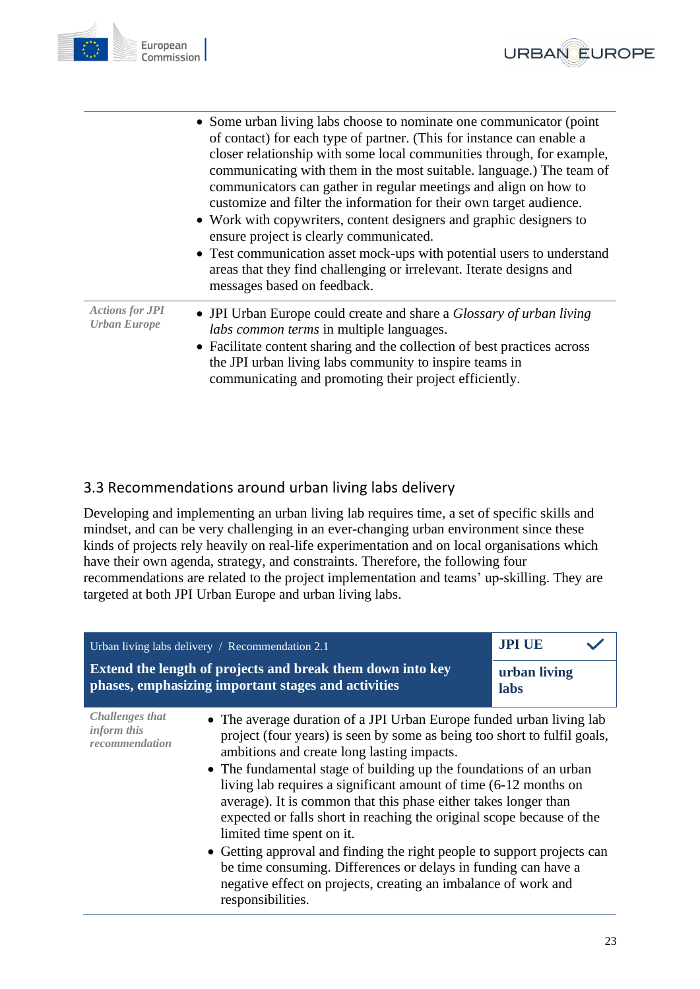



|                                               | • Some urban living labs choose to nominate one communicator (point)<br>of contact) for each type of partner. (This for instance can enable a<br>closer relationship with some local communities through, for example,<br>communicating with them in the most suitable. language.) The team of<br>communicators can gather in regular meetings and align on how to<br>customize and filter the information for their own target audience.<br>• Work with copywriters, content designers and graphic designers to<br>ensure project is clearly communicated.<br>• Test communication asset mock-ups with potential users to understand<br>areas that they find challenging or irrelevant. Iterate designs and |
|-----------------------------------------------|--------------------------------------------------------------------------------------------------------------------------------------------------------------------------------------------------------------------------------------------------------------------------------------------------------------------------------------------------------------------------------------------------------------------------------------------------------------------------------------------------------------------------------------------------------------------------------------------------------------------------------------------------------------------------------------------------------------|
|                                               | messages based on feedback.                                                                                                                                                                                                                                                                                                                                                                                                                                                                                                                                                                                                                                                                                  |
| <b>Actions for JPI</b><br><b>Urban Europe</b> | • JPI Urban Europe could create and share a <i>Glossary of urban living</i><br>labs common terms in multiple languages.<br>• Facilitate content sharing and the collection of best practices across<br>the JPI urban living labs community to inspire teams in<br>communicating and promoting their project efficiently.                                                                                                                                                                                                                                                                                                                                                                                     |

## <span id="page-22-0"></span>3.3 Recommendations around urban living labs delivery

Developing and implementing an urban living lab requires time, a set of specific skills and mindset, and can be very challenging in an ever-changing urban environment since these kinds of projects rely heavily on real-life experimentation and on local organisations which have their own agenda, strategy, and constraints. Therefore, the following four recommendations are related to the project implementation and teams' up-skilling. They are targeted at both JPI Urban Europe and urban living labs.

<span id="page-22-1"></span>

| Urban living labs delivery / Recommendation 2.1  |                                                                                                                                                                                                                                                                                                                                                                                                                                                                                                                                                                                                                                                                                                                                                       | <b>JPI UE</b>        |  |
|--------------------------------------------------|-------------------------------------------------------------------------------------------------------------------------------------------------------------------------------------------------------------------------------------------------------------------------------------------------------------------------------------------------------------------------------------------------------------------------------------------------------------------------------------------------------------------------------------------------------------------------------------------------------------------------------------------------------------------------------------------------------------------------------------------------------|----------------------|--|
|                                                  | <b>Extend the length of projects and break them down into key</b><br>phases, emphasizing important stages and activities                                                                                                                                                                                                                                                                                                                                                                                                                                                                                                                                                                                                                              | urban living<br>labs |  |
| Challenges that<br>inform this<br>recommendation | • The average duration of a JPI Urban Europe funded urban living lab<br>project (four years) is seen by some as being too short to fulfil goals,<br>ambitions and create long lasting impacts.<br>• The fundamental stage of building up the foundations of an urban<br>living lab requires a significant amount of time (6-12 months on<br>average). It is common that this phase either takes longer than<br>expected or falls short in reaching the original scope because of the<br>limited time spent on it.<br>• Getting approval and finding the right people to support projects can<br>be time consuming. Differences or delays in funding can have a<br>negative effect on projects, creating an imbalance of work and<br>responsibilities. |                      |  |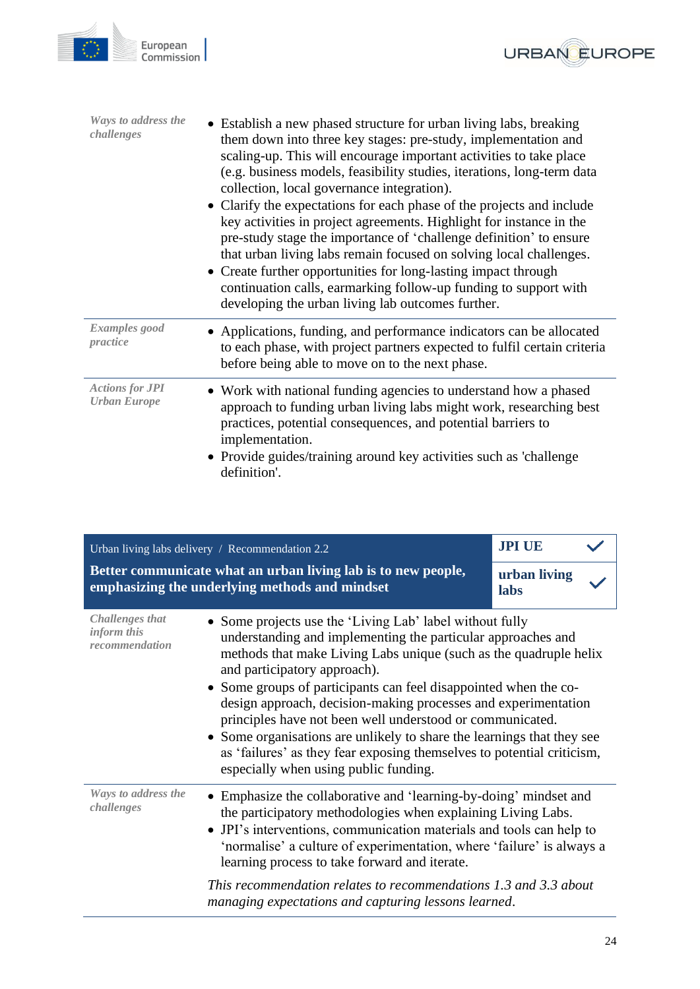



European

Commission

<span id="page-23-0"></span>

|                                                         | Urban living labs delivery / Recommendation 2.2                                                                                                                                                                                                                                                                                                                                                                                                                                                                                                                                                                               | <b>JPI UE</b>        |
|---------------------------------------------------------|-------------------------------------------------------------------------------------------------------------------------------------------------------------------------------------------------------------------------------------------------------------------------------------------------------------------------------------------------------------------------------------------------------------------------------------------------------------------------------------------------------------------------------------------------------------------------------------------------------------------------------|----------------------|
|                                                         | Better communicate what an urban living lab is to new people,<br>emphasizing the underlying methods and mindset                                                                                                                                                                                                                                                                                                                                                                                                                                                                                                               | urban living<br>labs |
| <b>Challenges that</b><br>inform this<br>recommendation | • Some projects use the 'Living Lab' label without fully<br>understanding and implementing the particular approaches and<br>methods that make Living Labs unique (such as the quadruple helix<br>and participatory approach).<br>• Some groups of participants can feel disappointed when the co-<br>design approach, decision-making processes and experimentation<br>principles have not been well understood or communicated.<br>• Some organisations are unlikely to share the learnings that they see<br>as 'failures' as they fear exposing themselves to potential criticism,<br>especially when using public funding. |                      |
| Ways to address the<br>challenges                       | • Emphasize the collaborative and 'learning-by-doing' mindset and<br>the participatory methodologies when explaining Living Labs.<br>• JPI's interventions, communication materials and tools can help to<br>'normalise' a culture of experimentation, where 'failure' is always a<br>learning process to take forward and iterate.                                                                                                                                                                                                                                                                                           |                      |
|                                                         | This recommendation relates to recommendations 1.3 and 3.3 about<br>managing expectations and capturing lessons learned.                                                                                                                                                                                                                                                                                                                                                                                                                                                                                                      |                      |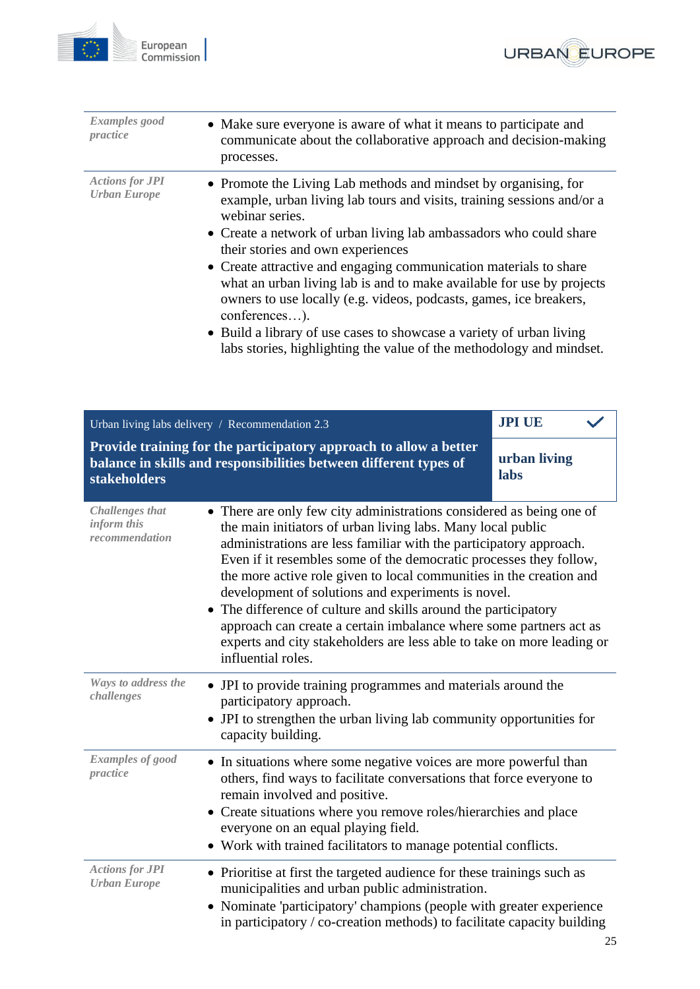



<span id="page-24-0"></span>

| <b>Examples</b> good<br>practice                        | • Make sure everyone is aware of what it means to participate and<br>communicate about the collaborative approach and decision-making<br>processes.                                                                                                                                                                                                                                                                                                                                                                                                                                                                                                              |                      |
|---------------------------------------------------------|------------------------------------------------------------------------------------------------------------------------------------------------------------------------------------------------------------------------------------------------------------------------------------------------------------------------------------------------------------------------------------------------------------------------------------------------------------------------------------------------------------------------------------------------------------------------------------------------------------------------------------------------------------------|----------------------|
| <b>Actions for JPI</b><br><b>Urban Europe</b>           | • Promote the Living Lab methods and mindset by organising, for<br>example, urban living lab tours and visits, training sessions and/or a<br>webinar series.<br>Create a network of urban living lab ambassadors who could share<br>their stories and own experiences<br>Create attractive and engaging communication materials to share<br>what an urban living lab is and to make available for use by projects<br>owners to use locally (e.g. videos, podcasts, games, ice breakers,<br>conferences).<br>• Build a library of use cases to showcase a variety of urban living<br>labs stories, highlighting the value of the methodology and mindset.         |                      |
|                                                         | Urban living labs delivery / Recommendation 2.3                                                                                                                                                                                                                                                                                                                                                                                                                                                                                                                                                                                                                  | <b>JPI UE</b>        |
| stakeholders                                            | Provide training for the participatory approach to allow a better<br>balance in skills and responsibilities between different types of                                                                                                                                                                                                                                                                                                                                                                                                                                                                                                                           | urban living<br>labs |
| <b>Challenges</b> that<br>inform this<br>recommendation | • There are only few city administrations considered as being one of<br>the main initiators of urban living labs. Many local public<br>administrations are less familiar with the participatory approach.<br>Even if it resembles some of the democratic processes they follow,<br>the more active role given to local communities in the creation and<br>development of solutions and experiments is novel.<br>The difference of culture and skills around the participatory<br>$\bullet$<br>approach can create a certain imbalance where some partners act as<br>experts and city stakeholders are less able to take on more leading or<br>influential roles. |                      |
| Ways to address the<br>challenges                       | • JPI to provide training programmes and materials around the<br>participatory approach.<br>JPI to strengthen the urban living lab community opportunities for<br>capacity building.                                                                                                                                                                                                                                                                                                                                                                                                                                                                             |                      |
| Examples of good<br>practice                            | In situations where some negative voices are more powerful than<br>others, find ways to facilitate conversations that force everyone to<br>remain involved and positive.<br>• Create situations where you remove roles/hierarchies and place<br>everyone on an equal playing field.<br>Work with trained facilitators to manage potential conflicts.                                                                                                                                                                                                                                                                                                             |                      |
| <b>Actions for JPI</b><br><b>Urban Europe</b>           | • Prioritise at first the targeted audience for these trainings such as<br>municipalities and urban public administration.<br>Nominate 'participatory' champions (people with greater experience<br>in participatory $\ell$ co-creation methods) to facilitate capacity building                                                                                                                                                                                                                                                                                                                                                                                 |                      |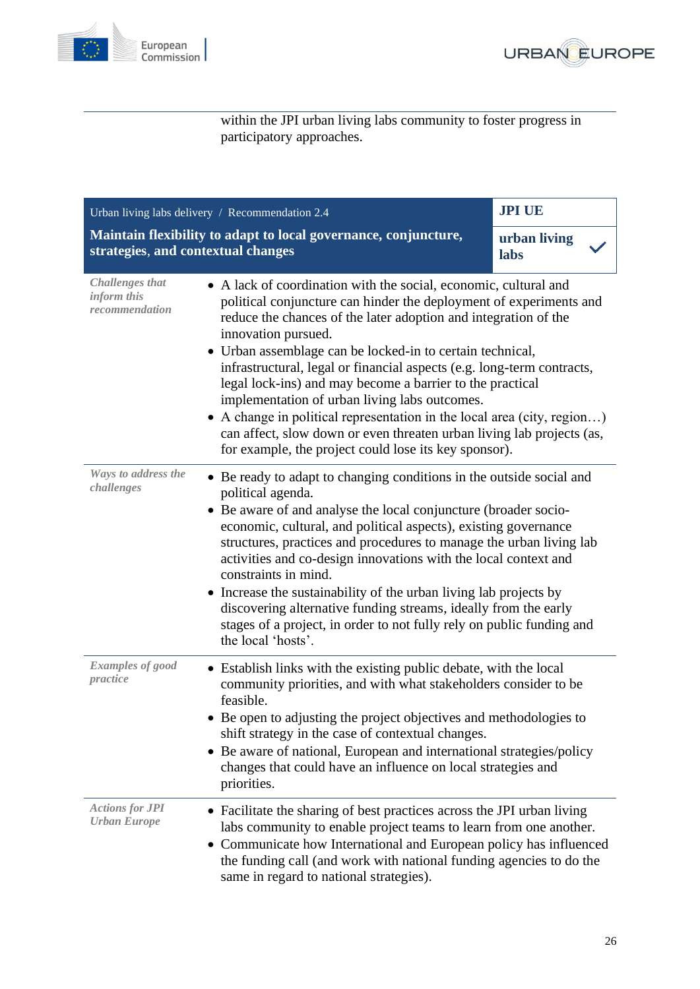



within the JPI urban living labs community to foster progress in participatory approaches.

<span id="page-25-0"></span>

| Urban living labs delivery / Recommendation 2.4                                                       |                                                                                                                                                                                                                                                                                                                                                                                                                                                                                                                                                                                                                                                                                                | <b>JPI UE</b>        |
|-------------------------------------------------------------------------------------------------------|------------------------------------------------------------------------------------------------------------------------------------------------------------------------------------------------------------------------------------------------------------------------------------------------------------------------------------------------------------------------------------------------------------------------------------------------------------------------------------------------------------------------------------------------------------------------------------------------------------------------------------------------------------------------------------------------|----------------------|
| Maintain flexibility to adapt to local governance, conjuncture,<br>strategies, and contextual changes |                                                                                                                                                                                                                                                                                                                                                                                                                                                                                                                                                                                                                                                                                                | urban living<br>labs |
| <b>Challenges that</b><br>inform this<br>recommendation                                               | • A lack of coordination with the social, economic, cultural and<br>political conjuncture can hinder the deployment of experiments and<br>reduce the chances of the later adoption and integration of the<br>innovation pursued.<br>Urban assemblage can be locked-in to certain technical,<br>infrastructural, legal or financial aspects (e.g. long-term contracts,<br>legal lock-ins) and may become a barrier to the practical<br>implementation of urban living labs outcomes.<br>A change in political representation in the local area (city, region)<br>can affect, slow down or even threaten urban living lab projects (as,<br>for example, the project could lose its key sponsor). |                      |
| Ways to address the<br>challenges                                                                     | • Be ready to adapt to changing conditions in the outside social and<br>political agenda.<br>Be aware of and analyse the local conjuncture (broader socio-<br>economic, cultural, and political aspects), existing governance<br>structures, practices and procedures to manage the urban living lab<br>activities and co-design innovations with the local context and<br>constraints in mind.<br>• Increase the sustainability of the urban living lab projects by<br>discovering alternative funding streams, ideally from the early<br>stages of a project, in order to not fully rely on public funding and<br>the local 'hosts'.                                                         |                      |
| <b>Examples of good</b><br>practice                                                                   | • Establish links with the existing public debate, with the local<br>community priorities, and with what stakeholders consider to be<br>feasible.<br>• Be open to adjusting the project objectives and methodologies to<br>shift strategy in the case of contextual changes.<br>Be aware of national, European and international strategies/policy<br>changes that could have an influence on local strategies and<br>priorities.                                                                                                                                                                                                                                                              |                      |
| <b>Actions for JPI</b><br><b>Urban Europe</b>                                                         | • Facilitate the sharing of best practices across the JPI urban living<br>labs community to enable project teams to learn from one another.<br>• Communicate how International and European policy has influenced<br>the funding call (and work with national funding agencies to do the<br>same in regard to national strategies).                                                                                                                                                                                                                                                                                                                                                            |                      |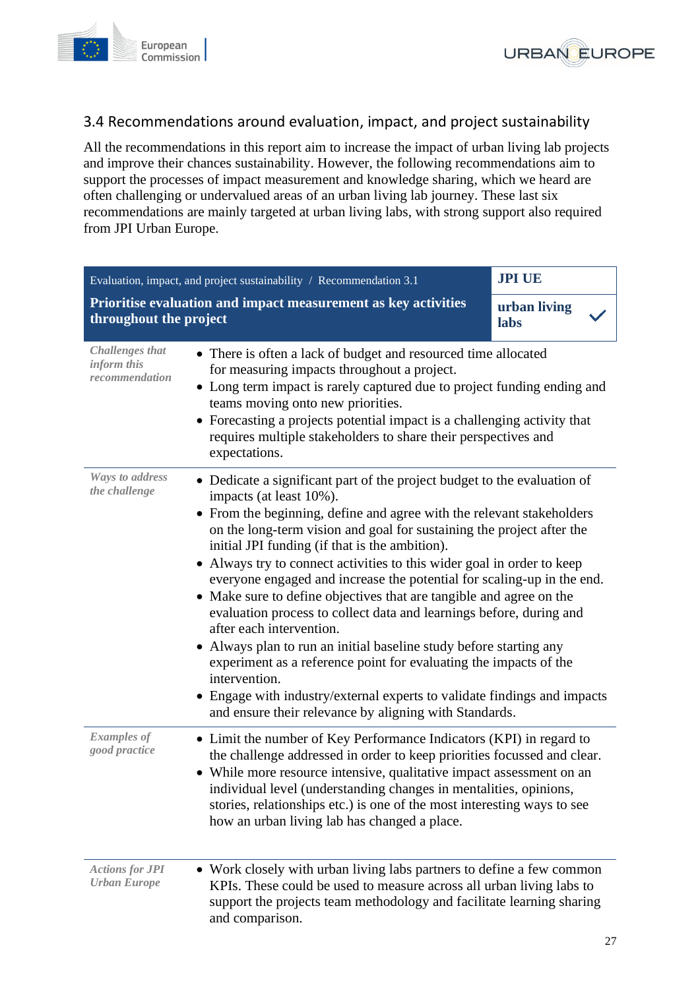



## <span id="page-26-0"></span>3.4 Recommendations around evaluation, impact, and project sustainability

All the recommendations in this report aim to increase the impact of urban living lab projects and improve their chances sustainability. However, the following recommendations aim to support the processes of impact measurement and knowledge sharing, which we heard are often challenging or undervalued areas of an urban living lab journey. These last six recommendations are mainly targeted at urban living labs, with strong support also required from JPI Urban Europe.

<span id="page-26-1"></span>

| Evaluation, impact, and project sustainability / Recommendation 3.1 |                                                                                                                                                                                                                                                                                                                                                                                                                                                                                                                                                                                                                                                                                                                                                                                                                                                                                                                                                    | <b>JPI UE</b>        |
|---------------------------------------------------------------------|----------------------------------------------------------------------------------------------------------------------------------------------------------------------------------------------------------------------------------------------------------------------------------------------------------------------------------------------------------------------------------------------------------------------------------------------------------------------------------------------------------------------------------------------------------------------------------------------------------------------------------------------------------------------------------------------------------------------------------------------------------------------------------------------------------------------------------------------------------------------------------------------------------------------------------------------------|----------------------|
| throughout the project                                              | Prioritise evaluation and impact measurement as key activities                                                                                                                                                                                                                                                                                                                                                                                                                                                                                                                                                                                                                                                                                                                                                                                                                                                                                     | urban living<br>labs |
| <b>Challenges</b> that<br>inform this<br>recommendation             | • There is often a lack of budget and resourced time allocated<br>for measuring impacts throughout a project.<br>• Long term impact is rarely captured due to project funding ending and<br>teams moving onto new priorities.<br>Forecasting a projects potential impact is a challenging activity that<br>requires multiple stakeholders to share their perspectives and<br>expectations.                                                                                                                                                                                                                                                                                                                                                                                                                                                                                                                                                         |                      |
| <b>Ways to address</b><br>the challenge                             | • Dedicate a significant part of the project budget to the evaluation of<br>impacts (at least 10%).<br>• From the beginning, define and agree with the relevant stakeholders<br>on the long-term vision and goal for sustaining the project after the<br>initial JPI funding (if that is the ambition).<br>• Always try to connect activities to this wider goal in order to keep<br>everyone engaged and increase the potential for scaling-up in the end.<br>• Make sure to define objectives that are tangible and agree on the<br>evaluation process to collect data and learnings before, during and<br>after each intervention.<br>Always plan to run an initial baseline study before starting any<br>$\bullet$<br>experiment as a reference point for evaluating the impacts of the<br>intervention.<br>• Engage with industry/external experts to validate findings and impacts<br>and ensure their relevance by aligning with Standards. |                      |
| <b>Examples of</b><br>good practice                                 | • Limit the number of Key Performance Indicators (KPI) in regard to<br>the challenge addressed in order to keep priorities focussed and clear.<br>• While more resource intensive, qualitative impact assessment on an<br>individual level (understanding changes in mentalities, opinions,<br>stories, relationships etc.) is one of the most interesting ways to see<br>how an urban living lab has changed a place.                                                                                                                                                                                                                                                                                                                                                                                                                                                                                                                             |                      |
| <b>Actions for JPI</b><br><b>Urban Europe</b>                       | • Work closely with urban living labs partners to define a few common<br>KPIs. These could be used to measure across all urban living labs to<br>support the projects team methodology and facilitate learning sharing<br>and comparison.                                                                                                                                                                                                                                                                                                                                                                                                                                                                                                                                                                                                                                                                                                          |                      |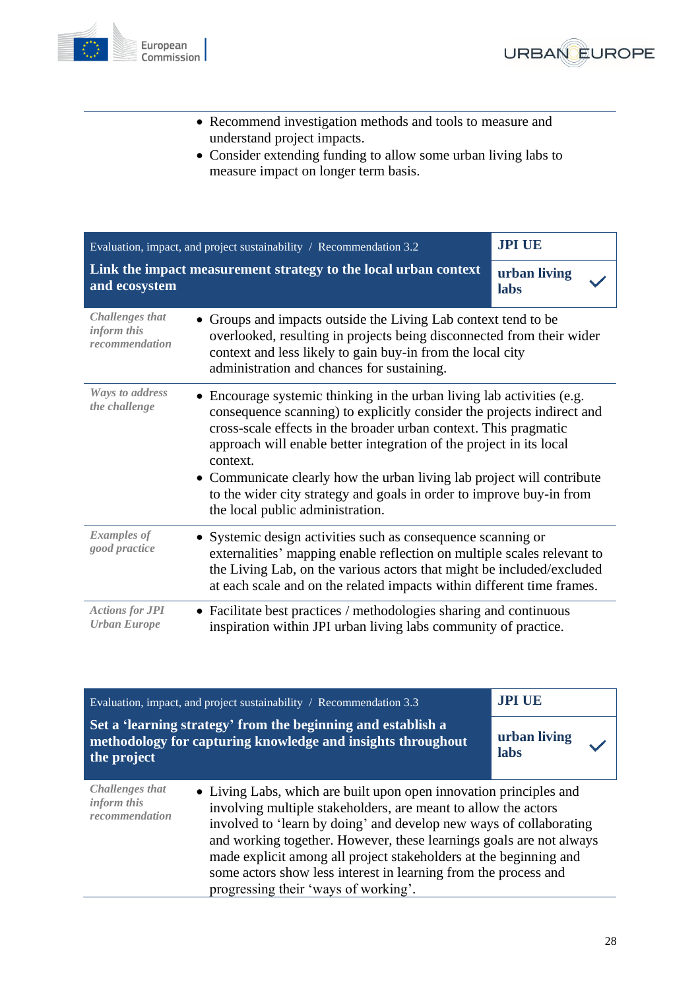



- Recommend investigation methods and tools to measure and understand project impacts.
- Consider extending funding to allow some urban living labs to measure impact on longer term basis.

<span id="page-27-0"></span>

| Evaluation, impact, and project sustainability / Recommendation 3.2 |                                                                                                                                                                                                                                                                                                                                                                                                                                                                                               | <b>JPI UE</b>        |
|---------------------------------------------------------------------|-----------------------------------------------------------------------------------------------------------------------------------------------------------------------------------------------------------------------------------------------------------------------------------------------------------------------------------------------------------------------------------------------------------------------------------------------------------------------------------------------|----------------------|
| and ecosystem                                                       | Link the impact measurement strategy to the local urban context                                                                                                                                                                                                                                                                                                                                                                                                                               | urban living<br>labs |
| <b>Challenges that</b><br>inform this<br>recommendation             | Groups and impacts outside the Living Lab context tend to be<br>overlooked, resulting in projects being disconnected from their wider<br>context and less likely to gain buy-in from the local city<br>administration and chances for sustaining.                                                                                                                                                                                                                                             |                      |
| Ways to address<br>the challenge                                    | • Encourage systemic thinking in the urban living lab activities (e.g.<br>consequence scanning) to explicitly consider the projects indirect and<br>cross-scale effects in the broader urban context. This pragmatic<br>approach will enable better integration of the project in its local<br>context.<br>• Communicate clearly how the urban living lab project will contribute<br>to the wider city strategy and goals in order to improve buy-in from<br>the local public administration. |                      |
| <b>Examples of</b><br>good practice                                 | • Systemic design activities such as consequence scanning or<br>externalities' mapping enable reflection on multiple scales relevant to<br>the Living Lab, on the various actors that might be included/excluded<br>at each scale and on the related impacts within different time frames.                                                                                                                                                                                                    |                      |
| <b>Actions for JPI</b><br><b>Urban Europe</b>                       | • Facilitate best practices / methodologies sharing and continuous<br>inspiration within JPI urban living labs community of practice.                                                                                                                                                                                                                                                                                                                                                         |                      |

<span id="page-27-1"></span>

| Evaluation, impact, and project sustainability $\land$ Recommendation 3.3 |                                                                                                                                                                                                                                                                                                                                                                                                                                                                   | <b>JPI UE</b>        |
|---------------------------------------------------------------------------|-------------------------------------------------------------------------------------------------------------------------------------------------------------------------------------------------------------------------------------------------------------------------------------------------------------------------------------------------------------------------------------------------------------------------------------------------------------------|----------------------|
| the project                                                               | Set a 'learning strategy' from the beginning and establish a<br>methodology for capturing knowledge and insights throughout                                                                                                                                                                                                                                                                                                                                       | urban living<br>labs |
| <b>Challenges that</b><br>inform this<br>recommendation                   | • Living Labs, which are built upon open innovation principles and<br>involving multiple stakeholders, are meant to allow the actors<br>involved to 'learn by doing' and develop new ways of collaborating<br>and working together. However, these learnings goals are not always<br>made explicit among all project stakeholders at the beginning and<br>some actors show less interest in learning from the process and<br>progressing their 'ways of working'. |                      |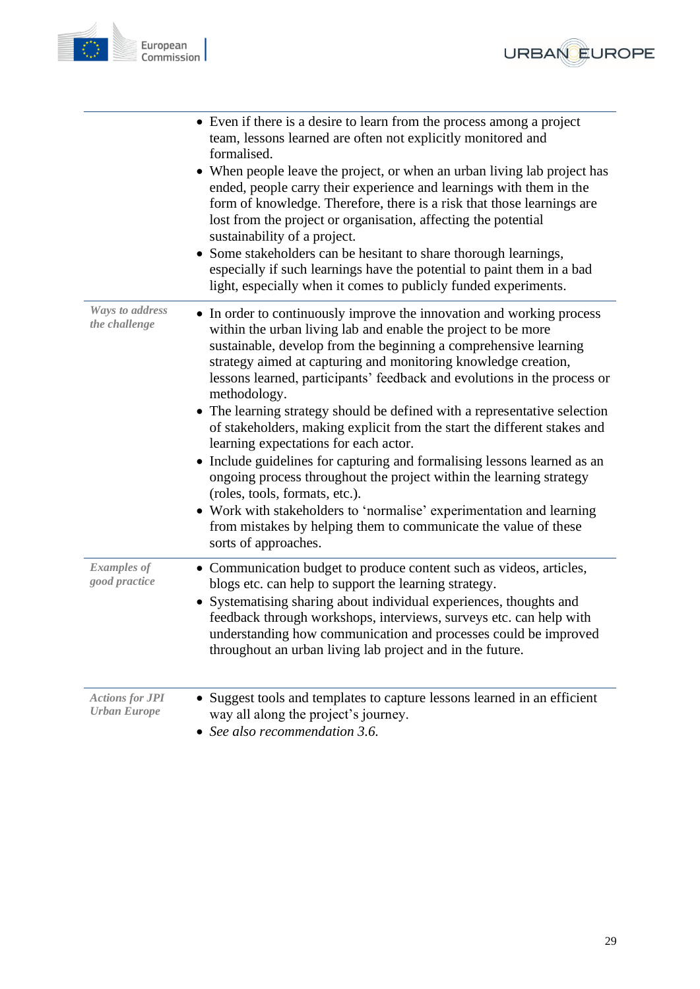



|                                               | • Even if there is a desire to learn from the process among a project<br>team, lessons learned are often not explicitly monitored and<br>formalised.<br>• When people leave the project, or when an urban living lab project has<br>ended, people carry their experience and learnings with them in the<br>form of knowledge. Therefore, there is a risk that those learnings are<br>lost from the project or organisation, affecting the potential<br>sustainability of a project.<br>• Some stakeholders can be hesitant to share thorough learnings,                                                                                                                                                                                                                                                                                                                                                                          |
|-----------------------------------------------|----------------------------------------------------------------------------------------------------------------------------------------------------------------------------------------------------------------------------------------------------------------------------------------------------------------------------------------------------------------------------------------------------------------------------------------------------------------------------------------------------------------------------------------------------------------------------------------------------------------------------------------------------------------------------------------------------------------------------------------------------------------------------------------------------------------------------------------------------------------------------------------------------------------------------------|
|                                               | especially if such learnings have the potential to paint them in a bad<br>light, especially when it comes to publicly funded experiments.                                                                                                                                                                                                                                                                                                                                                                                                                                                                                                                                                                                                                                                                                                                                                                                        |
| <b>Ways to address</b><br>the challenge       | • In order to continuously improve the innovation and working process<br>within the urban living lab and enable the project to be more<br>sustainable, develop from the beginning a comprehensive learning<br>strategy aimed at capturing and monitoring knowledge creation,<br>lessons learned, participants' feedback and evolutions in the process or<br>methodology.<br>• The learning strategy should be defined with a representative selection<br>of stakeholders, making explicit from the start the different stakes and<br>learning expectations for each actor.<br>Include guidelines for capturing and formalising lessons learned as an<br>ongoing process throughout the project within the learning strategy<br>(roles, tools, formats, etc.).<br>• Work with stakeholders to 'normalise' experimentation and learning<br>from mistakes by helping them to communicate the value of these<br>sorts of approaches. |
| <b>Examples of</b><br>good practice           | • Communication budget to produce content such as videos, articles,<br>blogs etc. can help to support the learning strategy.<br>Systematising sharing about individual experiences, thoughts and<br>feedback through workshops, interviews, surveys etc. can help with<br>understanding how communication and processes could be improved<br>throughout an urban living lab project and in the future.                                                                                                                                                                                                                                                                                                                                                                                                                                                                                                                           |
| <b>Actions for JPI</b><br><b>Urban Europe</b> | • Suggest tools and templates to capture lessons learned in an efficient<br>way all along the project's journey.<br>See also recommendation 3.6.                                                                                                                                                                                                                                                                                                                                                                                                                                                                                                                                                                                                                                                                                                                                                                                 |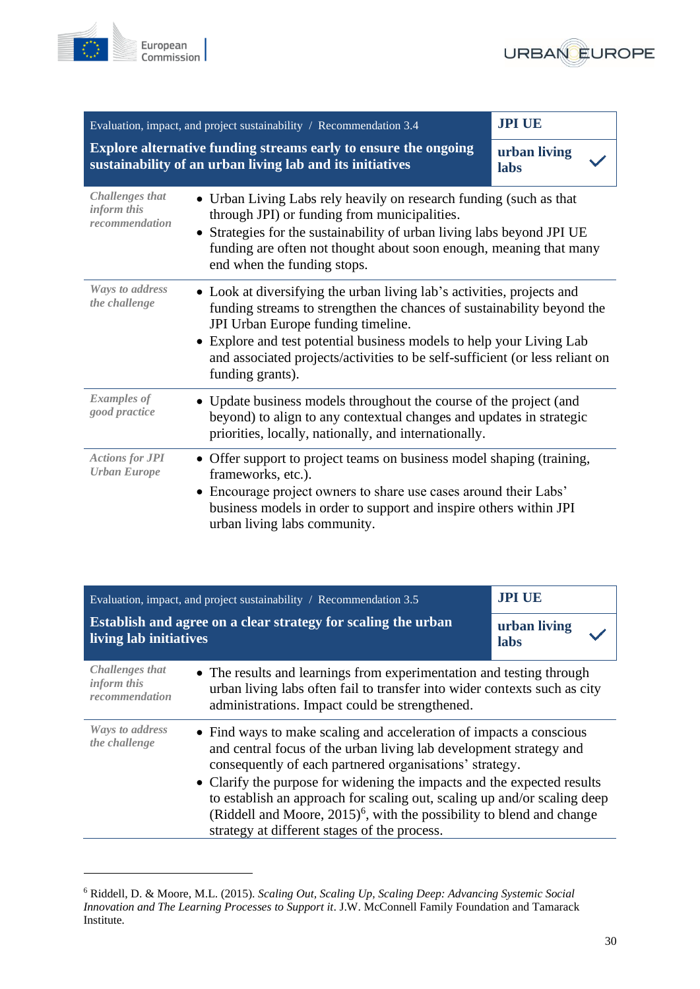



<span id="page-29-0"></span>

|                                                         | Evaluation, impact, and project sustainability / Recommendation 3.4                                                                                                                                                                                                                                                                                                           | <b>JPI UE</b>        |
|---------------------------------------------------------|-------------------------------------------------------------------------------------------------------------------------------------------------------------------------------------------------------------------------------------------------------------------------------------------------------------------------------------------------------------------------------|----------------------|
|                                                         | Explore alternative funding streams early to ensure the ongoing<br>sustainability of an urban living lab and its initiatives                                                                                                                                                                                                                                                  | urban living<br>labs |
| <b>Challenges that</b><br>inform this<br>recommendation | • Urban Living Labs rely heavily on research funding (such as that<br>through JPI) or funding from municipalities.<br>• Strategies for the sustainability of urban living labs beyond JPI UE<br>funding are often not thought about soon enough, meaning that many<br>end when the funding stops.                                                                             |                      |
| <b>Ways to address</b><br>the challenge                 | • Look at diversifying the urban living lab's activities, projects and<br>funding streams to strengthen the chances of sustainability beyond the<br>JPI Urban Europe funding timeline.<br>Explore and test potential business models to help your Living Lab<br>$\bullet$<br>and associated projects/activities to be self-sufficient (or less reliant on<br>funding grants). |                      |
| <b>Examples of</b><br>good practice                     | • Update business models throughout the course of the project (and<br>beyond) to align to any contextual changes and updates in strategic<br>priorities, locally, nationally, and internationally.                                                                                                                                                                            |                      |
| <b>Actions for JPI</b><br><b>Urban Europe</b>           | • Offer support to project teams on business model shaping (training,<br>frameworks, etc.).<br>• Encourage project owners to share use cases around their Labs'<br>business models in order to support and inspire others within JPI<br>urban living labs community.                                                                                                          |                      |

<span id="page-29-1"></span>

| Evaluation, impact, and project sustainability $\land$ Recommendation 3.5 |                                                                                                                                                                                                                                                                                                                                                                                                                                                                                                     | <b>JPI UE</b>        |
|---------------------------------------------------------------------------|-----------------------------------------------------------------------------------------------------------------------------------------------------------------------------------------------------------------------------------------------------------------------------------------------------------------------------------------------------------------------------------------------------------------------------------------------------------------------------------------------------|----------------------|
| living lab initiatives                                                    | Establish and agree on a clear strategy for scaling the urban                                                                                                                                                                                                                                                                                                                                                                                                                                       | urban living<br>labs |
| Challenges that<br><i>inform this</i><br>recommendation                   | • The results and learnings from experimentation and testing through<br>urban living labs often fail to transfer into wider contexts such as city<br>administrations. Impact could be strengthened.                                                                                                                                                                                                                                                                                                 |                      |
| Ways to address<br>the challenge                                          | • Find ways to make scaling and acceleration of impacts a conscious<br>and central focus of the urban living lab development strategy and<br>consequently of each partnered organisations' strategy.<br>• Clarify the purpose for widening the impacts and the expected results<br>to establish an approach for scaling out, scaling up and/or scaling deep<br>(Riddell and Moore, $2015$ ) <sup>6</sup> , with the possibility to blend and change<br>strategy at different stages of the process. |                      |

<sup>6</sup> Riddell, D. & Moore, M.L. (2015). *Scaling Out, Scaling Up, Scaling Deep: Advancing Systemic Social Innovation and The Learning Processes to Support it*. J.W. McConnell Family Foundation and Tamarack Institute*.*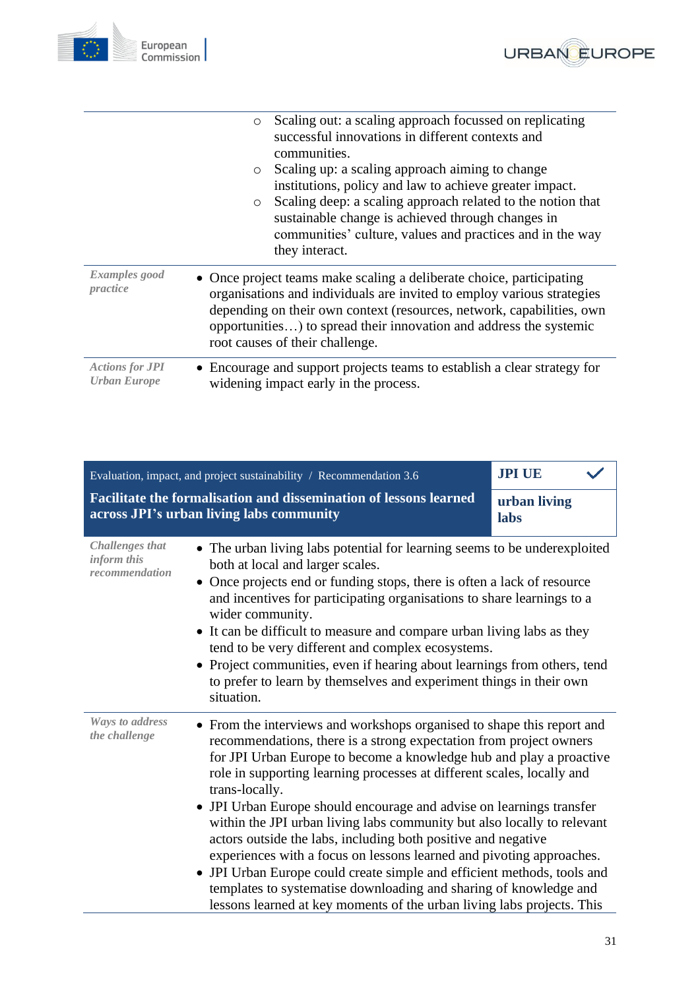



|                                               | Scaling out: a scaling approach focussed on replicating<br>$\circ$<br>successful innovations in different contexts and<br>communities.                                                                                                                                                                                           |  |
|-----------------------------------------------|----------------------------------------------------------------------------------------------------------------------------------------------------------------------------------------------------------------------------------------------------------------------------------------------------------------------------------|--|
|                                               | Scaling up: a scaling approach aiming to change<br>$\circ$<br>institutions, policy and law to achieve greater impact.                                                                                                                                                                                                            |  |
|                                               | Scaling deep: a scaling approach related to the notion that<br>$\circ$<br>sustainable change is achieved through changes in<br>communities' culture, values and practices and in the way<br>they interact.                                                                                                                       |  |
| Examples good<br>practice                     | • Once project teams make scaling a deliberate choice, participating<br>organisations and individuals are invited to employ various strategies<br>depending on their own context (resources, network, capabilities, own<br>opportunities) to spread their innovation and address the systemic<br>root causes of their challenge. |  |
| <b>Actions for JPI</b><br><b>Urban Europe</b> | • Encourage and support projects teams to establish a clear strategy for<br>widening impact early in the process.                                                                                                                                                                                                                |  |

<span id="page-30-0"></span>

| Evaluation, impact, and project sustainability / Recommendation 3.6                                           |                                                                                                                                                                                                                                                                                                                                                                                                                                                                                                                                                                                                                                                                                                                                                                                                                                     | <b>JPI UE</b>        |
|---------------------------------------------------------------------------------------------------------------|-------------------------------------------------------------------------------------------------------------------------------------------------------------------------------------------------------------------------------------------------------------------------------------------------------------------------------------------------------------------------------------------------------------------------------------------------------------------------------------------------------------------------------------------------------------------------------------------------------------------------------------------------------------------------------------------------------------------------------------------------------------------------------------------------------------------------------------|----------------------|
| Facilitate the formalisation and dissemination of lessons learned<br>across JPI's urban living labs community |                                                                                                                                                                                                                                                                                                                                                                                                                                                                                                                                                                                                                                                                                                                                                                                                                                     | urban living<br>labs |
| <b>Challenges that</b><br>inform this<br>recommendation                                                       | • The urban living labs potential for learning seems to be underexploited<br>both at local and larger scales.<br>• Once projects end or funding stops, there is often a lack of resource<br>and incentives for participating organisations to share learnings to a<br>wider community.<br>• It can be difficult to measure and compare urban living labs as they<br>tend to be very different and complex ecosystems.<br>• Project communities, even if hearing about learnings from others, tend<br>to prefer to learn by themselves and experiment things in their own<br>situation.                                                                                                                                                                                                                                              |                      |
| <b>Ways to address</b><br>the challenge                                                                       | • From the interviews and workshops organised to shape this report and<br>recommendations, there is a strong expectation from project owners<br>for JPI Urban Europe to become a knowledge hub and play a proactive<br>role in supporting learning processes at different scales, locally and<br>trans-locally.<br>• JPI Urban Europe should encourage and advise on learnings transfer<br>within the JPI urban living labs community but also locally to relevant<br>actors outside the labs, including both positive and negative<br>experiences with a focus on lessons learned and pivoting approaches.<br>JPI Urban Europe could create simple and efficient methods, tools and<br>templates to systematise downloading and sharing of knowledge and<br>lessons learned at key moments of the urban living labs projects. This |                      |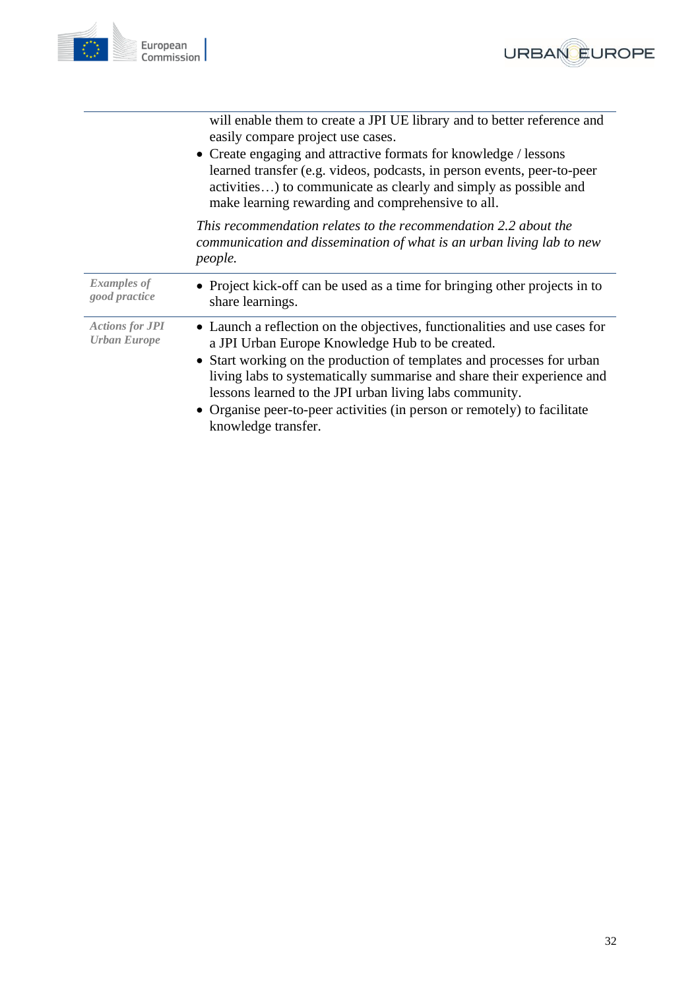



|                                               | will enable them to create a JPI UE library and to better reference and<br>easily compare project use cases.<br>• Create engaging and attractive formats for knowledge / lessons<br>learned transfer (e.g. videos, podcasts, in person events, peer-to-peer<br>activities) to communicate as clearly and simply as possible and<br>make learning rewarding and comprehensive to all.                                                            |
|-----------------------------------------------|-------------------------------------------------------------------------------------------------------------------------------------------------------------------------------------------------------------------------------------------------------------------------------------------------------------------------------------------------------------------------------------------------------------------------------------------------|
|                                               | This recommendation relates to the recommendation 2.2 about the<br>communication and dissemination of what is an urban living lab to new<br>people.                                                                                                                                                                                                                                                                                             |
| <b>Examples of</b><br>good practice           | • Project kick-off can be used as a time for bringing other projects in to<br>share learnings.                                                                                                                                                                                                                                                                                                                                                  |
| <b>Actions for JPI</b><br><b>Urban Europe</b> | • Launch a reflection on the objectives, functionalities and use cases for<br>a JPI Urban Europe Knowledge Hub to be created.<br>• Start working on the production of templates and processes for urban<br>living labs to systematically summarise and share their experience and<br>lessons learned to the JPI urban living labs community.<br>• Organise peer-to-peer activities (in person or remotely) to facilitate<br>knowledge transfer. |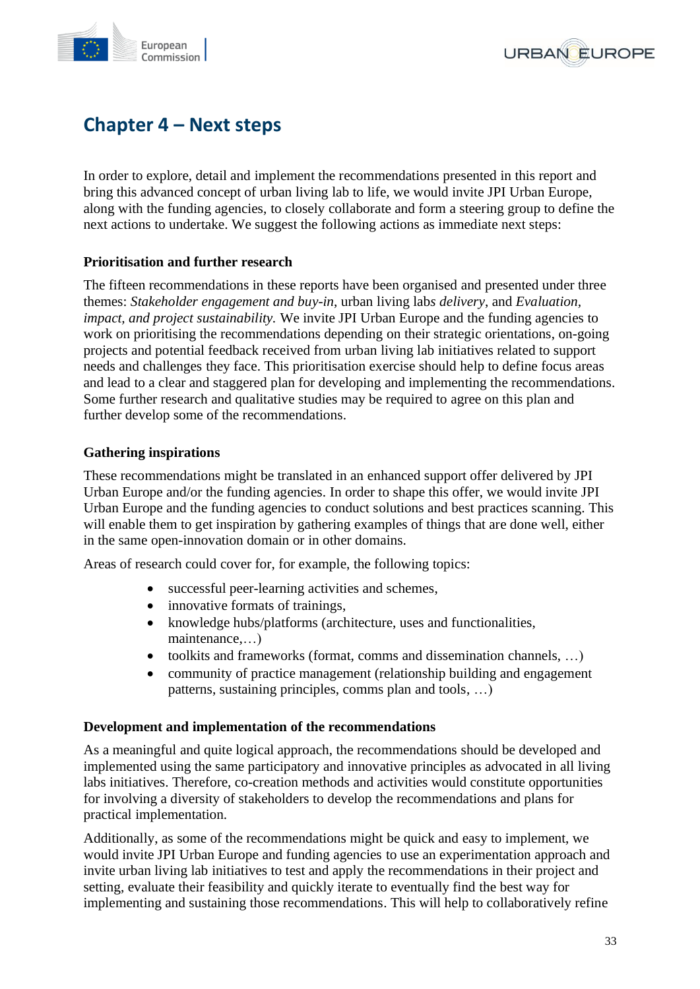



## <span id="page-32-0"></span>**Chapter 4 – Next steps**

In order to explore, detail and implement the recommendations presented in this report and bring this advanced concept of urban living lab to life, we would invite JPI Urban Europe, along with the funding agencies, to closely collaborate and form a steering group to define the next actions to undertake. We suggest the following actions as immediate next steps:

#### **Prioritisation and further research**

The fifteen recommendations in these reports have been organised and presented under three themes: *Stakeholder engagement and buy-in*, urban living lab*s delivery*, and *Evaluation, impact, and project sustainability.* We invite JPI Urban Europe and the funding agencies to work on prioritising the recommendations depending on their strategic orientations, on-going projects and potential feedback received from urban living lab initiatives related to support needs and challenges they face. This prioritisation exercise should help to define focus areas and lead to a clear and staggered plan for developing and implementing the recommendations. Some further research and qualitative studies may be required to agree on this plan and further develop some of the recommendations.

#### **Gathering inspirations**

These recommendations might be translated in an enhanced support offer delivered by JPI Urban Europe and/or the funding agencies. In order to shape this offer, we would invite JPI Urban Europe and the funding agencies to conduct solutions and best practices scanning. This will enable them to get inspiration by gathering examples of things that are done well, either in the same open-innovation domain or in other domains.

Areas of research could cover for, for example, the following topics:

- successful peer-learning activities and schemes,
- innovative formats of trainings,
- knowledge hubs/platforms (architecture, uses and functionalities, maintenance,…)
- toolkits and frameworks (format, comms and dissemination channels, …)
- community of practice management (relationship building and engagement patterns, sustaining principles, comms plan and tools, …)

#### **Development and implementation of the recommendations**

As a meaningful and quite logical approach, the recommendations should be developed and implemented using the same participatory and innovative principles as advocated in all living labs initiatives. Therefore, co-creation methods and activities would constitute opportunities for involving a diversity of stakeholders to develop the recommendations and plans for practical implementation.

Additionally, as some of the recommendations might be quick and easy to implement, we would invite JPI Urban Europe and funding agencies to use an experimentation approach and invite urban living lab initiatives to test and apply the recommendations in their project and setting, evaluate their feasibility and quickly iterate to eventually find the best way for implementing and sustaining those recommendations. This will help to collaboratively refine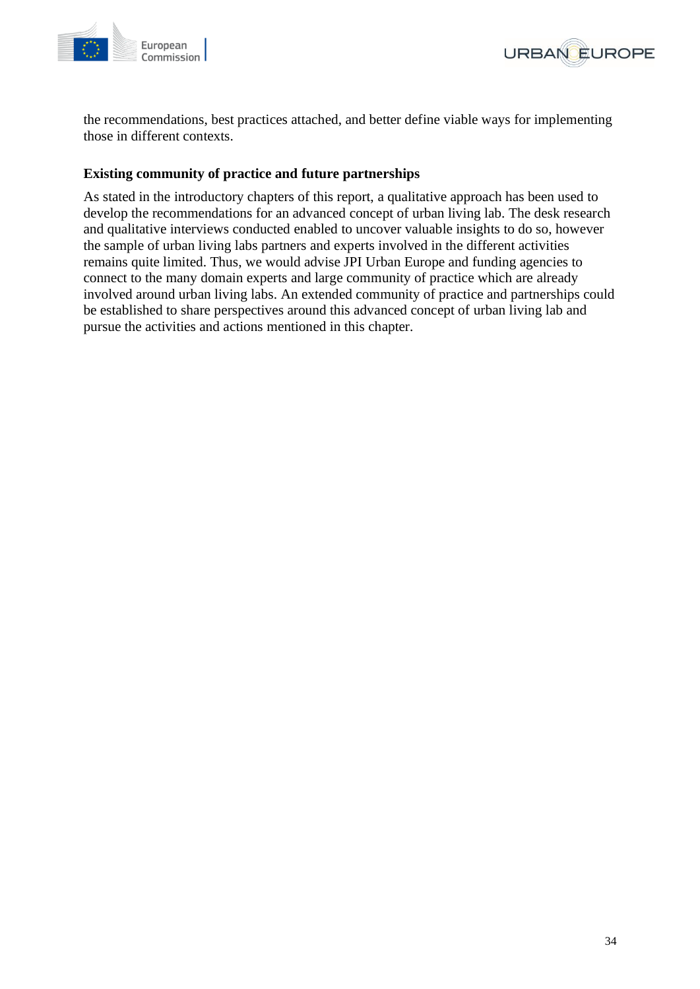



the recommendations, best practices attached, and better define viable ways for implementing those in different contexts.

#### **Existing community of practice and future partnerships**

<span id="page-33-0"></span>As stated in the introductory chapters of this report, a qualitative approach has been used to develop the recommendations for an advanced concept of urban living lab. The desk research and qualitative interviews conducted enabled to uncover valuable insights to do so, however the sample of urban living labs partners and experts involved in the different activities remains quite limited. Thus, we would advise JPI Urban Europe and funding agencies to connect to the many domain experts and large community of practice which are already involved around urban living labs. An extended community of practice and partnerships could be established to share perspectives around this advanced concept of urban living lab and pursue the activities and actions mentioned in this chapter.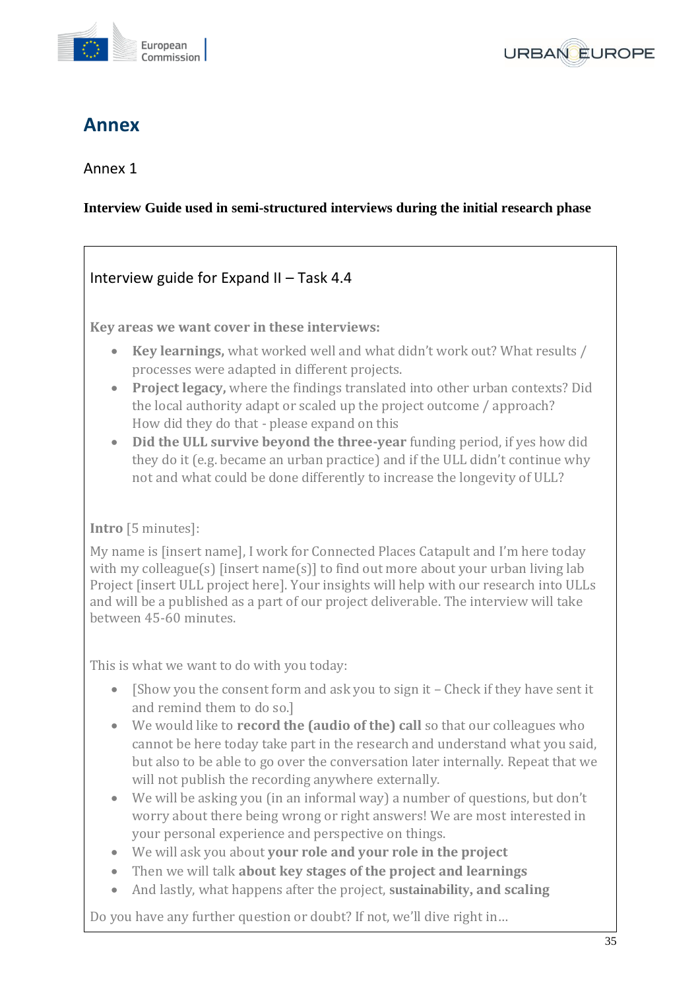



## **Annex**

## Annex 1

## **Interview Guide used in semi-structured interviews during the initial research phase**

## Interview guide for Expand II – Task 4.4

**Key areas we want cover in these interviews:**

- **Key learnings,** what worked well and what didn't work out? What results / processes were adapted in different projects.
- **Project legacy,** where the findings translated into other urban contexts? Did the local authority adapt or scaled up the project outcome / approach? How did they do that - please expand on this
- **Did the ULL survive beyond the three-year** funding period, if yes how did they do it (e.g. became an urban practice) and if the ULL didn't continue why not and what could be done differently to increase the longevity of ULL?

## **Intro** [5 minutes]:

My name is [insert name], I work for Connected Places Catapult and I'm here today with my colleague(s) [insert name(s)] to find out more about your urban living lab Project [insert ULL project here]. Your insights will help with our research into ULLs and will be a published as a part of our project deliverable. The interview will take between 45-60 minutes.

This is what we want to do with you today:

- [Show you the consent form and ask you to sign it Check if they have sent it and remind them to do so.]
- We would like to **record the (audio of the) call** so that our colleagues who cannot be here today take part in the research and understand what you said, but also to be able to go over the conversation later internally. Repeat that we will not publish the recording anywhere externally.
- We will be asking you (in an informal way) a number of questions, but don't worry about there being wrong or right answers! We are most interested in your personal experience and perspective on things.
- We will ask you about **your role and your role in the project**
- Then we will talk **about key stages of the project and learnings**
- And lastly, what happens after the project, **sustainability, and scaling**

Do you have any further question or doubt? If not, we'll dive right in…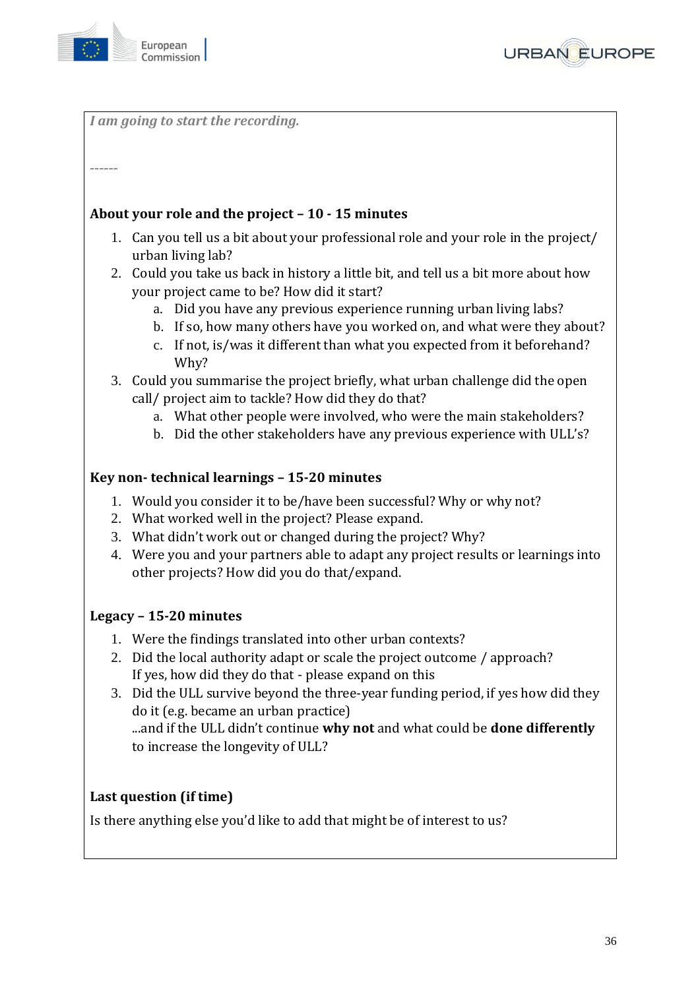



*I am going to start the recording.*

#### *------*

### **About your role and the project – 10 - 15 minutes**

- 1. Can you tell us a bit about your professional role and your role in the project/ urban living lab?
- 2. Could you take us back in history a little bit, and tell us a bit more about how your project came to be? How did it start?
	- a. Did you have any previous experience running urban living labs?
	- b. If so, how many others have you worked on, and what were they about?
	- c. If not, is/was it different than what you expected from it beforehand? Why?
- 3. Could you summarise the project briefly, what urban challenge did the open call/ project aim to tackle? How did they do that?
	- a. What other people were involved, who were the main stakeholders?
	- b. Did the other stakeholders have any previous experience with ULL's?

### **Key non- technical learnings – 15-20 minutes**

- 1. Would you consider it to be/have been successful? Why or why not?
- 2. What worked well in the project? Please expand.
- 3. What didn't work out or changed during the project? Why?
- 4. Were you and your partners able to adapt any project results or learnings into other projects? How did you do that/expand.

#### **Legacy – 15-20 minutes**

- 1. Were the findings translated into other urban contexts?
- 2. Did the local authority adapt or scale the project outcome / approach? If yes, how did they do that - please expand on this
- 3. Did the ULL survive beyond the three-year funding period, if yes how did they do it (e.g. became an urban practice) ...and if the ULL didn't continue **why not** and what could be **done differently**

to increase the longevity of ULL?

### **Last question (if time)**

Is there anything else you'd like to add that might be of interest to us?